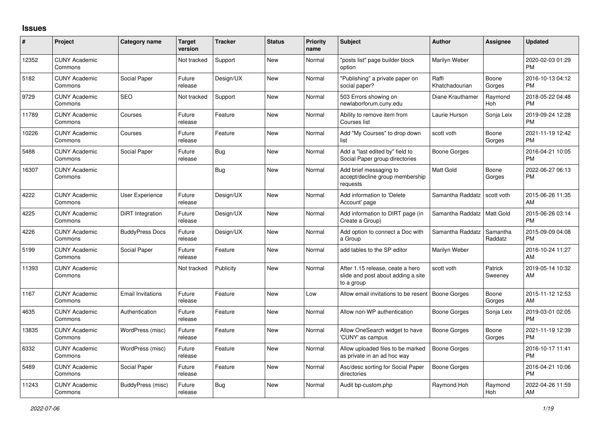## **Issues**

| $\#$  | Project                         | <b>Category name</b>     | Target<br>version | <b>Tracker</b> | <b>Status</b> | <b>Priority</b><br>name | <b>Subject</b>                                                                       | <b>Author</b>           | <b>Assignee</b>     | <b>Updated</b>                |
|-------|---------------------------------|--------------------------|-------------------|----------------|---------------|-------------------------|--------------------------------------------------------------------------------------|-------------------------|---------------------|-------------------------------|
| 12352 | <b>CUNY Academic</b><br>Commons |                          | Not tracked       | Support        | <b>New</b>    | Normal                  | "posts list" page builder block<br>option                                            | Marilyn Weber           |                     | 2020-02-03 01:29<br><b>PM</b> |
| 5182  | <b>CUNY Academic</b><br>Commons | Social Paper             | Future<br>release | Design/UX      | <b>New</b>    | Normal                  | "Publishing" a private paper on<br>social paper?                                     | Raffi<br>Khatchadourian | Boone<br>Gorges     | 2016-10-13 04:12<br><b>PM</b> |
| 9729  | <b>CUNY Academic</b><br>Commons | <b>SEO</b>               | Not tracked       | Support        | New           | Normal                  | 503 Errors showing on<br>newlaborforum.cuny.edu                                      | Diane Krauthamer        | Raymond<br>Hoh      | 2018-05-22 04:48<br><b>PM</b> |
| 11789 | <b>CUNY Academic</b><br>Commons | Courses                  | Future<br>release | Feature        | <b>New</b>    | Normal                  | Ability to remove item from<br>Courses list                                          | Laurie Hurson           | Sonja Leix          | 2019-09-24 12:28<br><b>PM</b> |
| 10226 | <b>CUNY Academic</b><br>Commons | Courses                  | Future<br>release | Feature        | <b>New</b>    | Normal                  | Add "My Courses" to drop down<br>list                                                | scott voth              | Boone<br>Gorges     | 2021-11-19 12:42<br><b>PM</b> |
| 5488  | <b>CUNY Academic</b><br>Commons | Social Paper             | Future<br>release | <b>Bug</b>     | New           | Normal                  | Add a "last edited by" field to<br>Social Paper group directories                    | Boone Gorges            |                     | 2016-04-21 10:05<br><b>PM</b> |
| 16307 | <b>CUNY Academic</b><br>Commons |                          |                   | <b>Bug</b>     | <b>New</b>    | Normal                  | Add brief messaging to<br>accept/decline group membership<br>requests                | <b>Matt Gold</b>        | Boone<br>Gorges     | 2022-06-27 06:13<br><b>PM</b> |
| 4222  | <b>CUNY Academic</b><br>Commons | User Experience          | Future<br>release | Design/UX      | <b>New</b>    | Normal                  | Add information to 'Delete<br>Account' page                                          | Samantha Raddatz        | scott voth          | 2015-06-26 11:35<br>AM        |
| 4225  | <b>CUNY Academic</b><br>Commons | <b>DiRT</b> Integration  | Future<br>release | Design/UX      | <b>New</b>    | Normal                  | Add information to DIRT page (in<br>Create a Group)                                  | Samantha Raddatz        | <b>Matt Gold</b>    | 2015-06-26 03:14<br><b>PM</b> |
| 4226  | <b>CUNY Academic</b><br>Commons | <b>BuddyPress Docs</b>   | Future<br>release | Design/UX      | <b>New</b>    | Normal                  | Add option to connect a Doc with<br>a Group                                          | Samantha Raddatz        | Samantha<br>Raddatz | 2015-09-09 04:08<br><b>PM</b> |
| 5199  | <b>CUNY Academic</b><br>Commons | Social Paper             | Future<br>release | Feature        | <b>New</b>    | Normal                  | add tables to the SP editor                                                          | Marilyn Weber           |                     | 2016-10-24 11:27<br>AM        |
| 11393 | <b>CUNY Academic</b><br>Commons |                          | Not tracked       | Publicity      | <b>New</b>    | Normal                  | After 1.15 release, ceate a hero<br>slide and post about adding a site<br>to a group | scott voth              | Patrick<br>Sweeney  | 2019-05-14 10:32<br>AM        |
| 1167  | <b>CUNY Academic</b><br>Commons | <b>Email Invitations</b> | Future<br>release | Feature        | <b>New</b>    | Low                     | Allow email invitations to be resent                                                 | <b>Boone Gorges</b>     | Boone<br>Gorges     | 2015-11-12 12:53<br>AM        |
| 4635  | <b>CUNY Academic</b><br>Commons | Authentication           | Future<br>release | Feature        | <b>New</b>    | Normal                  | Allow non-WP authentication                                                          | Boone Gorges            | Sonja Leix          | 2019-03-01 02:05<br><b>PM</b> |
| 13835 | <b>CUNY Academic</b><br>Commons | WordPress (misc)         | Future<br>release | Feature        | <b>New</b>    | Normal                  | Allow OneSearch widget to have<br>'CUNY' as campus                                   | <b>Boone Gorges</b>     | Boone<br>Gorges     | 2021-11-19 12:39<br><b>PM</b> |
| 6332  | <b>CUNY Academic</b><br>Commons | WordPress (misc)         | Future<br>release | Feature        | <b>New</b>    | Normal                  | Allow uploaded files to be marked<br>as private in an ad hoc way                     | <b>Boone Gorges</b>     |                     | 2016-10-17 11:41<br><b>PM</b> |
| 5489  | <b>CUNY Academic</b><br>Commons | Social Paper             | Future<br>release | Feature        | New           | Normal                  | Asc/desc sorting for Social Paper<br>directories                                     | Boone Gorges            |                     | 2016-04-21 10:06<br><b>PM</b> |
| 11243 | <b>CUNY Academic</b><br>Commons | BuddyPress (misc)        | Future<br>release | Bug            | <b>New</b>    | Normal                  | Audit bp-custom.php                                                                  | Raymond Hoh             | Raymond<br>Hoh      | 2022-04-26 11:59<br>AM        |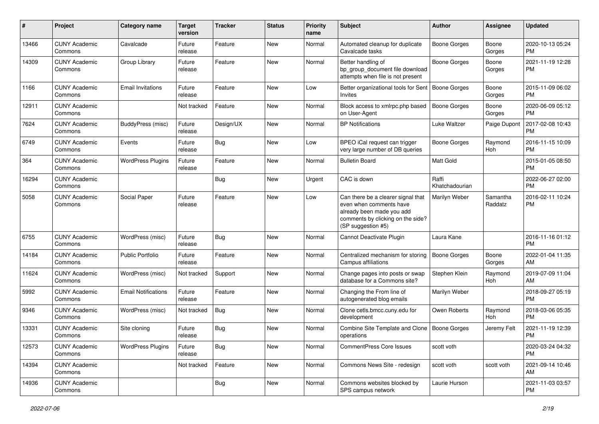| $\#$  | Project                         | <b>Category name</b>       | <b>Target</b><br>version | <b>Tracker</b> | <b>Status</b> | Priority<br>name | <b>Subject</b>                                                                                                                                        | Author                  | <b>Assignee</b>     | <b>Updated</b>                |
|-------|---------------------------------|----------------------------|--------------------------|----------------|---------------|------------------|-------------------------------------------------------------------------------------------------------------------------------------------------------|-------------------------|---------------------|-------------------------------|
| 13466 | <b>CUNY Academic</b><br>Commons | Cavalcade                  | Future<br>release        | Feature        | <b>New</b>    | Normal           | Automated cleanup for duplicate<br>Cavalcade tasks                                                                                                    | <b>Boone Gorges</b>     | Boone<br>Gorges     | 2020-10-13 05:24<br><b>PM</b> |
| 14309 | <b>CUNY Academic</b><br>Commons | Group Library              | Future<br>release        | Feature        | New           | Normal           | Better handling of<br>bp_group_document file download<br>attempts when file is not present                                                            | <b>Boone Gorges</b>     | Boone<br>Gorges     | 2021-11-19 12:28<br><b>PM</b> |
| 1166  | <b>CUNY Academic</b><br>Commons | <b>Email Invitations</b>   | Future<br>release        | Feature        | New           | Low              | Better organizational tools for Sent   Boone Gorges<br><b>Invites</b>                                                                                 |                         | Boone<br>Gorges     | 2015-11-09 06:02<br><b>PM</b> |
| 12911 | <b>CUNY Academic</b><br>Commons |                            | Not tracked              | Feature        | <b>New</b>    | Normal           | Block access to xmlrpc.php based<br>on User-Agent                                                                                                     | <b>Boone Gorges</b>     | Boone<br>Gorges     | 2020-06-09 05:12<br><b>PM</b> |
| 7624  | <b>CUNY Academic</b><br>Commons | BuddyPress (misc)          | Future<br>release        | Design/UX      | <b>New</b>    | Normal           | <b>BP</b> Notifications                                                                                                                               | Luke Waltzer            | Paige Dupont        | 2017-02-08 10:43<br><b>PM</b> |
| 6749  | <b>CUNY Academic</b><br>Commons | Events                     | Future<br>release        | <b>Bug</b>     | <b>New</b>    | Low              | BPEO iCal request can trigger<br>very large number of DB queries                                                                                      | <b>Boone Gorges</b>     | Raymond<br>Hoh      | 2016-11-15 10:09<br><b>PM</b> |
| 364   | <b>CUNY Academic</b><br>Commons | <b>WordPress Plugins</b>   | Future<br>release        | Feature        | New           | Normal           | <b>Bulletin Board</b>                                                                                                                                 | <b>Matt Gold</b>        |                     | 2015-01-05 08:50<br><b>PM</b> |
| 16294 | <b>CUNY Academic</b><br>Commons |                            |                          | <b>Bug</b>     | <b>New</b>    | Urgent           | CAC is down                                                                                                                                           | Raffi<br>Khatchadourian |                     | 2022-06-27 02:00<br><b>PM</b> |
| 5058  | <b>CUNY Academic</b><br>Commons | Social Paper               | Future<br>release        | Feature        | <b>New</b>    | Low              | Can there be a clearer signal that<br>even when comments have<br>already been made you add<br>comments by clicking on the side?<br>(SP suggestion #5) | Marilyn Weber           | Samantha<br>Raddatz | 2016-02-11 10:24<br><b>PM</b> |
| 6755  | <b>CUNY Academic</b><br>Commons | WordPress (misc)           | Future<br>release        | <b>Bug</b>     | <b>New</b>    | Normal           | Cannot Deactivate Plugin                                                                                                                              | Laura Kane              |                     | 2016-11-16 01:12<br><b>PM</b> |
| 14184 | <b>CUNY Academic</b><br>Commons | <b>Public Portfolio</b>    | Future<br>release        | Feature        | <b>New</b>    | Normal           | Centralized mechanism for storing<br>Campus affiliations                                                                                              | <b>Boone Gorges</b>     | Boone<br>Gorges     | 2022-01-04 11:35<br>AM        |
| 11624 | <b>CUNY Academic</b><br>Commons | WordPress (misc)           | Not tracked              | Support        | <b>New</b>    | Normal           | Change pages into posts or swap<br>database for a Commons site?                                                                                       | Stephen Klein           | Raymond<br>Hoh      | 2019-07-09 11:04<br>AM        |
| 5992  | <b>CUNY Academic</b><br>Commons | <b>Email Notifications</b> | Future<br>release        | Feature        | <b>New</b>    | Normal           | Changing the From line of<br>autogenerated blog emails                                                                                                | Marilyn Weber           |                     | 2018-09-27 05:19<br><b>PM</b> |
| 9346  | <b>CUNY Academic</b><br>Commons | WordPress (misc)           | Not tracked              | Bug            | New           | Normal           | Clone cetls.bmcc.cuny.edu for<br>development                                                                                                          | Owen Roberts            | Raymond<br>Hoh      | 2018-03-06 05:35<br><b>PM</b> |
| 13331 | <b>CUNY Academic</b><br>Commons | Site cloning               | Future<br>release        | <b>Bug</b>     | <b>New</b>    | Normal           | Combine Site Template and Clone<br>operations                                                                                                         | <b>Boone Gorges</b>     | Jeremy Felt         | 2021-11-19 12:39<br><b>PM</b> |
| 12573 | <b>CUNY Academic</b><br>Commons | <b>WordPress Plugins</b>   | Future<br>release        | Bug            | New           | Normal           | CommentPress Core Issues                                                                                                                              | scott voth              |                     | 2020-03-24 04:32<br>PM.       |
| 14394 | <b>CUNY Academic</b><br>Commons |                            | Not tracked              | Feature        | New           | Normal           | Commons News Site - redesign                                                                                                                          | scott voth              | scott voth          | 2021-09-14 10:46<br>AM        |
| 14936 | <b>CUNY Academic</b><br>Commons |                            |                          | <b>Bug</b>     | New           | Normal           | Commons websites blocked by<br>SPS campus network                                                                                                     | Laurie Hurson           |                     | 2021-11-03 03:57<br><b>PM</b> |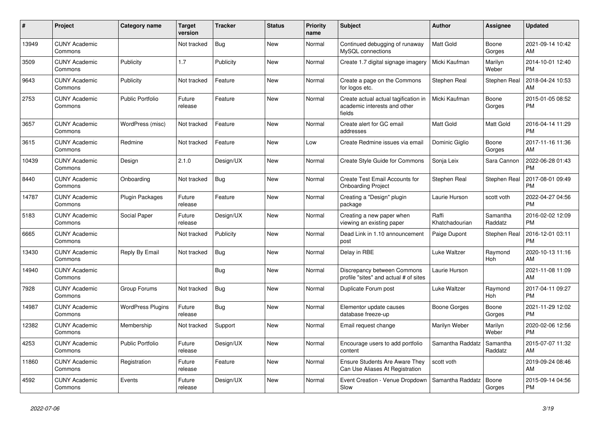| $\pmb{\#}$ | <b>Project</b>                  | <b>Category name</b>     | <b>Target</b><br>version | <b>Tracker</b> | <b>Status</b> | Priority<br>name | <b>Subject</b>                                                                 | <b>Author</b>           | Assignee            | <b>Updated</b>                |
|------------|---------------------------------|--------------------------|--------------------------|----------------|---------------|------------------|--------------------------------------------------------------------------------|-------------------------|---------------------|-------------------------------|
| 13949      | <b>CUNY Academic</b><br>Commons |                          | Not tracked              | <b>Bug</b>     | New           | Normal           | Continued debugging of runaway<br>MySQL connections                            | <b>Matt Gold</b>        | Boone<br>Gorges     | 2021-09-14 10:42<br>AM        |
| 3509       | <b>CUNY Academic</b><br>Commons | Publicity                | 1.7                      | Publicity      | New           | Normal           | Create 1.7 digital signage imagery                                             | Micki Kaufman           | Marilyn<br>Weber    | 2014-10-01 12:40<br><b>PM</b> |
| 9643       | <b>CUNY Academic</b><br>Commons | Publicity                | Not tracked              | Feature        | New           | Normal           | Create a page on the Commons<br>for logos etc.                                 | Stephen Real            | Stephen Real        | 2018-04-24 10:53<br>AM        |
| 2753       | <b>CUNY Academic</b><br>Commons | <b>Public Portfolio</b>  | Future<br>release        | Feature        | <b>New</b>    | Normal           | Create actual actual tagification in<br>academic interests and other<br>fields | Micki Kaufman           | Boone<br>Gorges     | 2015-01-05 08:52<br><b>PM</b> |
| 3657       | <b>CUNY Academic</b><br>Commons | WordPress (misc)         | Not tracked              | Feature        | New           | Normal           | Create alert for GC email<br>addresses                                         | <b>Matt Gold</b>        | Matt Gold           | 2016-04-14 11:29<br><b>PM</b> |
| 3615       | <b>CUNY Academic</b><br>Commons | Redmine                  | Not tracked              | Feature        | New           | Low              | Create Redmine issues via email                                                | Dominic Giglio          | Boone<br>Gorges     | 2017-11-16 11:36<br>AM        |
| 10439      | <b>CUNY Academic</b><br>Commons | Design                   | 2.1.0                    | Design/UX      | <b>New</b>    | Normal           | Create Style Guide for Commons                                                 | Sonja Leix              | Sara Cannon         | 2022-06-28 01:43<br><b>PM</b> |
| 8440       | <b>CUNY Academic</b><br>Commons | Onboarding               | Not tracked              | Bug            | New           | Normal           | Create Test Email Accounts for<br><b>Onboarding Project</b>                    | Stephen Real            | Stephen Real        | 2017-08-01 09:49<br><b>PM</b> |
| 14787      | <b>CUNY Academic</b><br>Commons | <b>Plugin Packages</b>   | Future<br>release        | Feature        | New           | Normal           | Creating a "Design" plugin<br>package                                          | Laurie Hurson           | scott voth          | 2022-04-27 04:56<br><b>PM</b> |
| 5183       | <b>CUNY Academic</b><br>Commons | <b>Social Paper</b>      | Future<br>release        | Design/UX      | <b>New</b>    | Normal           | Creating a new paper when<br>viewing an existing paper                         | Raffi<br>Khatchadourian | Samantha<br>Raddatz | 2016-02-02 12:09<br><b>PM</b> |
| 6665       | <b>CUNY Academic</b><br>Commons |                          | Not tracked              | Publicity      | New           | Normal           | Dead Link in 1.10 announcement<br>post                                         | Paige Dupont            | Stephen Real        | 2016-12-01 03:11<br><b>PM</b> |
| 13430      | <b>CUNY Academic</b><br>Commons | Reply By Email           | Not tracked              | Bug            | New           | Normal           | Delay in RBE                                                                   | Luke Waltzer            | Raymond<br>Hoh      | 2020-10-13 11:16<br>AM        |
| 14940      | <b>CUNY Academic</b><br>Commons |                          |                          | Bug            | <b>New</b>    | Normal           | Discrepancy between Commons<br>profile "sites" and actual # of sites           | Laurie Hurson           |                     | 2021-11-08 11:09<br>AM        |
| 7928       | <b>CUNY Academic</b><br>Commons | Group Forums             | Not tracked              | Bug            | New           | Normal           | Duplicate Forum post                                                           | Luke Waltzer            | Raymond<br>Hoh      | 2017-04-11 09:27<br><b>PM</b> |
| 14987      | <b>CUNY Academic</b><br>Commons | <b>WordPress Plugins</b> | Future<br>release        | <b>Bug</b>     | <b>New</b>    | Normal           | Elementor update causes<br>database freeze-up                                  | Boone Gorges            | Boone<br>Gorges     | 2021-11-29 12:02<br><b>PM</b> |
| 12382      | <b>CUNY Academic</b><br>Commons | Membership               | Not tracked              | Support        | <b>New</b>    | Normal           | Email request change                                                           | Marilyn Weber           | Marilyn<br>Weber    | 2020-02-06 12:56<br><b>PM</b> |
| 4253       | <b>CUNY Academic</b><br>Commons | <b>Public Portfolio</b>  | Future<br>release        | Design/UX      | <b>New</b>    | Normal           | Encourage users to add portfolio<br>content                                    | Samantha Raddatz        | Samantha<br>Raddatz | 2015-07-07 11:32<br>AM        |
| 11860      | <b>CUNY Academic</b><br>Commons | Registration             | Future<br>release        | Feature        | New           | Normal           | <b>Ensure Students Are Aware They</b><br>Can Use Aliases At Registration       | scott voth              |                     | 2019-09-24 08:46<br>AM        |
| 4592       | <b>CUNY Academic</b><br>Commons | Events                   | Future<br>release        | Design/UX      | <b>New</b>    | Normal           | Event Creation - Venue Dropdown<br>Slow                                        | Samantha Raddatz        | Boone<br>Gorges     | 2015-09-14 04:56<br><b>PM</b> |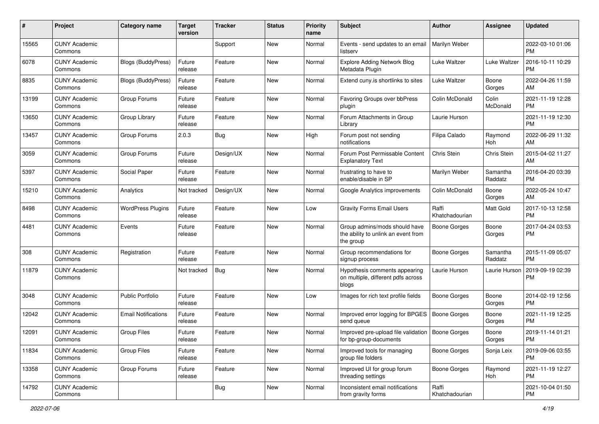| #     | Project                         | <b>Category name</b>       | <b>Target</b><br>version | <b>Tracker</b> | <b>Status</b> | <b>Priority</b><br>name | <b>Subject</b>                                                                    | <b>Author</b>           | <b>Assignee</b>     | <b>Updated</b>                |
|-------|---------------------------------|----------------------------|--------------------------|----------------|---------------|-------------------------|-----------------------------------------------------------------------------------|-------------------------|---------------------|-------------------------------|
| 15565 | <b>CUNY Academic</b><br>Commons |                            |                          | Support        | New           | Normal                  | Events - send updates to an email<br>listserv                                     | Marilyn Weber           |                     | 2022-03-10 01:06<br>PM.       |
| 6078  | <b>CUNY Academic</b><br>Commons | Blogs (BuddyPress)         | Future<br>release        | Feature        | New           | Normal                  | <b>Explore Adding Network Blog</b><br>Metadata Plugin                             | Luke Waltzer            | <b>Luke Waltzer</b> | 2016-10-11 10:29<br><b>PM</b> |
| 8835  | <b>CUNY Academic</b><br>Commons | Blogs (BuddyPress)         | Future<br>release        | Feature        | New           | Normal                  | Extend cuny is shortlinks to sites                                                | Luke Waltzer            | Boone<br>Gorges     | 2022-04-26 11:59<br>AM        |
| 13199 | <b>CUNY Academic</b><br>Commons | Group Forums               | Future<br>release        | Feature        | New           | Normal                  | Favoring Groups over bbPress<br>plugin                                            | Colin McDonald          | Colin<br>McDonald   | 2021-11-19 12:28<br><b>PM</b> |
| 13650 | <b>CUNY Academic</b><br>Commons | Group Library              | Future<br>release        | Feature        | New           | Normal                  | Forum Attachments in Group<br>Library                                             | Laurie Hurson           |                     | 2021-11-19 12:30<br><b>PM</b> |
| 13457 | <b>CUNY Academic</b><br>Commons | Group Forums               | 2.0.3                    | Bug            | New           | High                    | Forum post not sending<br>notifications                                           | Filipa Calado           | Raymond<br>Hoh      | 2022-06-29 11:32<br>AM        |
| 3059  | <b>CUNY Academic</b><br>Commons | Group Forums               | Future<br>release        | Design/UX      | New           | Normal                  | Forum Post Permissable Content<br><b>Explanatory Text</b>                         | Chris Stein             | Chris Stein         | 2015-04-02 11:27<br>AM        |
| 5397  | <b>CUNY Academic</b><br>Commons | Social Paper               | Future<br>release        | Feature        | <b>New</b>    | Normal                  | frustrating to have to<br>enable/disable in SP                                    | Marilyn Weber           | Samantha<br>Raddatz | 2016-04-20 03:39<br><b>PM</b> |
| 15210 | <b>CUNY Academic</b><br>Commons | Analytics                  | Not tracked              | Design/UX      | New           | Normal                  | Google Analytics improvements                                                     | Colin McDonald          | Boone<br>Gorges     | 2022-05-24 10:47<br>AM        |
| 8498  | <b>CUNY Academic</b><br>Commons | <b>WordPress Plugins</b>   | Future<br>release        | Feature        | New           | Low                     | <b>Gravity Forms Email Users</b>                                                  | Raffi<br>Khatchadourian | Matt Gold           | 2017-10-13 12:58<br><b>PM</b> |
| 4481  | <b>CUNY Academic</b><br>Commons | Events                     | Future<br>release        | Feature        | New           | Normal                  | Group admins/mods should have<br>the ability to unlink an event from<br>the group | Boone Gorges            | Boone<br>Gorges     | 2017-04-24 03:53<br><b>PM</b> |
| 308   | <b>CUNY Academic</b><br>Commons | Registration               | Future<br>release        | Feature        | New           | Normal                  | Group recommendations for<br>signup process                                       | Boone Gorges            | Samantha<br>Raddatz | 2015-11-09 05:07<br><b>PM</b> |
| 11879 | <b>CUNY Academic</b><br>Commons |                            | Not tracked              | Bug            | New           | Normal                  | Hypothesis comments appearing<br>on multiple, different pdfs across<br>blogs      | Laurie Hurson           | Laurie Hurson       | 2019-09-19 02:39<br><b>PM</b> |
| 3048  | <b>CUNY Academic</b><br>Commons | <b>Public Portfolio</b>    | Future<br>release        | Feature        | New           | Low                     | Images for rich text profile fields                                               | Boone Gorges            | Boone<br>Gorges     | 2014-02-19 12:56<br>PM.       |
| 12042 | <b>CUNY Academic</b><br>Commons | <b>Email Notifications</b> | Future<br>release        | Feature        | New           | Normal                  | Improved error logging for BPGES<br>send queue                                    | Boone Gorges            | Boone<br>Gorges     | 2021-11-19 12:25<br><b>PM</b> |
| 12091 | <b>CUNY Academic</b><br>Commons | Group Files                | Future<br>release        | Feature        | New           | Normal                  | Improved pre-upload file validation<br>for bp-group-documents                     | Boone Gorges            | Boone<br>Gorges     | 2019-11-14 01:21<br>PM        |
| 11834 | <b>CUNY Academic</b><br>Commons | Group Files                | Future<br>release        | Feature        | New           | Normal                  | Improved tools for managing<br>group file folders                                 | <b>Boone Gorges</b>     | Sonja Leix          | 2019-09-06 03:55<br><b>PM</b> |
| 13358 | <b>CUNY Academic</b><br>Commons | Group Forums               | Future<br>release        | Feature        | New           | Normal                  | Improved UI for group forum<br>threading settings                                 | Boone Gorges            | Raymond<br>Hoh      | 2021-11-19 12:27<br><b>PM</b> |
| 14792 | <b>CUNY Academic</b><br>Commons |                            |                          | <b>Bug</b>     | New           | Normal                  | Inconsistent email notifications<br>from gravity forms                            | Raffi<br>Khatchadourian |                     | 2021-10-04 01:50<br><b>PM</b> |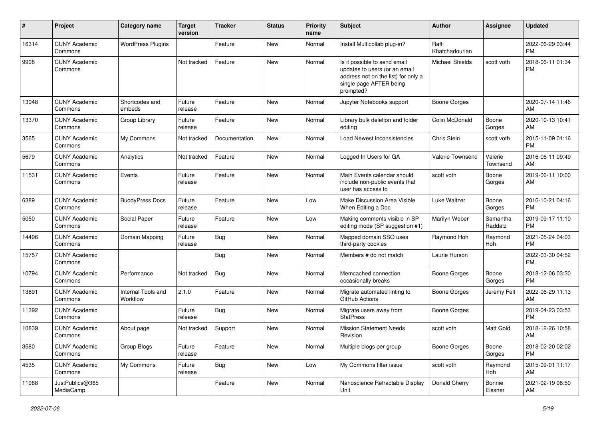| #     | Project                         | <b>Category name</b>           | <b>Target</b><br>version | <b>Tracker</b> | <b>Status</b> | Priority<br>name | <b>Subject</b>                                                                                                                               | <b>Author</b>           | <b>Assignee</b>     | <b>Updated</b>                |
|-------|---------------------------------|--------------------------------|--------------------------|----------------|---------------|------------------|----------------------------------------------------------------------------------------------------------------------------------------------|-------------------------|---------------------|-------------------------------|
| 16314 | <b>CUNY Academic</b><br>Commons | <b>WordPress Plugins</b>       |                          | Feature        | <b>New</b>    | Normal           | Install Multicollab plug-in?                                                                                                                 | Raffi<br>Khatchadourian |                     | 2022-06-29 03:44<br><b>PM</b> |
| 9908  | <b>CUNY Academic</b><br>Commons |                                | Not tracked              | Feature        | <b>New</b>    | Normal           | Is it possible to send email<br>updates to users (or an email<br>address not on the list) for only a<br>single page AFTER being<br>prompted? | <b>Michael Shields</b>  | scott voth          | 2018-06-11 01:34<br><b>PM</b> |
| 13048 | <b>CUNY Academic</b><br>Commons | Shortcodes and<br>embeds       | Future<br>release        | Feature        | <b>New</b>    | Normal           | Jupyter Notebooks support                                                                                                                    | <b>Boone Gorges</b>     |                     | 2020-07-14 11:46<br>AM        |
| 13370 | <b>CUNY Academic</b><br>Commons | Group Library                  | Future<br>release        | Feature        | <b>New</b>    | Normal           | Library bulk deletion and folder<br>editing                                                                                                  | Colin McDonald          | Boone<br>Gorges     | 2020-10-13 10:41<br>AM        |
| 3565  | <b>CUNY Academic</b><br>Commons | My Commons                     | Not tracked              | Documentation  | <b>New</b>    | Normal           | Load Newest inconsistencies                                                                                                                  | Chris Stein             | scott voth          | 2015-11-09 01:16<br><b>PM</b> |
| 5679  | <b>CUNY Academic</b><br>Commons | Analytics                      | Not tracked              | Feature        | New           | Normal           | Logged In Users for GA                                                                                                                       | Valerie Townsend        | Valerie<br>Townsend | 2016-06-11 09:49<br>AM        |
| 11531 | <b>CUNY Academic</b><br>Commons | Events                         | Future<br>release        | Feature        | <b>New</b>    | Normal           | Main Events calendar should<br>include non-public events that<br>user has access to                                                          | scott voth              | Boone<br>Gorges     | 2019-06-11 10:00<br>AM        |
| 6389  | <b>CUNY Academic</b><br>Commons | <b>BuddyPress Docs</b>         | Future<br>release        | Feature        | <b>New</b>    | Low              | Make Discussion Area Visible<br>When Editing a Doc                                                                                           | Luke Waltzer            | Boone<br>Gorges     | 2016-10-21 04:16<br><b>PM</b> |
| 5050  | <b>CUNY Academic</b><br>Commons | Social Paper                   | Future<br>release        | Feature        | <b>New</b>    | Low              | Making comments visible in SP<br>editing mode (SP suggestion #1)                                                                             | Marilyn Weber           | Samantha<br>Raddatz | 2019-09-17 11:10<br><b>PM</b> |
| 14496 | <b>CUNY Academic</b><br>Commons | Domain Mapping                 | Future<br>release        | <b>Bug</b>     | <b>New</b>    | Normal           | Mapped domain SSO uses<br>third-party cookies                                                                                                | Raymond Hoh             | Raymond<br>Hoh      | 2021-05-24 04:03<br><b>PM</b> |
| 15757 | <b>CUNY Academic</b><br>Commons |                                |                          | Bug            | New           | Normal           | Members # do not match                                                                                                                       | Laurie Hurson           |                     | 2022-03-30 04:52<br><b>PM</b> |
| 10794 | <b>CUNY Academic</b><br>Commons | Performance                    | Not tracked              | <b>Bug</b>     | <b>New</b>    | Normal           | Memcached connection<br>occasionally breaks                                                                                                  | <b>Boone Gorges</b>     | Boone<br>Gorges     | 2018-12-06 03:30<br><b>PM</b> |
| 13891 | <b>CUNY Academic</b><br>Commons | Internal Tools and<br>Workflow | 2.1.0                    | Feature        | <b>New</b>    | Normal           | Migrate automated linting to<br>GitHub Actions                                                                                               | <b>Boone Gorges</b>     | Jeremy Felt         | 2022-06-29 11:13<br>AM        |
| 11392 | <b>CUNY Academic</b><br>Commons |                                | Future<br>release        | Bug            | New           | Normal           | Migrate users away from<br><b>StatPress</b>                                                                                                  | <b>Boone Gorges</b>     |                     | 2019-04-23 03:53<br><b>PM</b> |
| 10839 | <b>CUNY Academic</b><br>Commons | About page                     | Not tracked              | Support        | <b>New</b>    | Normal           | <b>Mission Statement Needs</b><br>Revision                                                                                                   | scott voth              | Matt Gold           | 2018-12-26 10:58<br>AM        |
| 3580  | <b>CUNY Academic</b><br>Commons | Group Blogs                    | Future<br>release        | Feature        | New           | Normal           | Multiple blogs per group                                                                                                                     | <b>Boone Gorges</b>     | Boone<br>Gorges     | 2018-02-20 02:02<br>PM.       |
| 4535  | <b>CUNY Academic</b><br>Commons | My Commons                     | Future<br>release        | <b>Bug</b>     | New           | Low              | My Commons filter issue                                                                                                                      | scott voth              | Raymond<br>Hoh      | 2015-09-01 11:17<br>AM        |
| 11968 | JustPublics@365<br>MediaCamp    |                                |                          | Feature        | New           | Normal           | Nanoscience Retractable Display<br>Unit                                                                                                      | Donald Cherry           | Bonnie<br>Eissner   | 2021-02-19 08:50<br>AM        |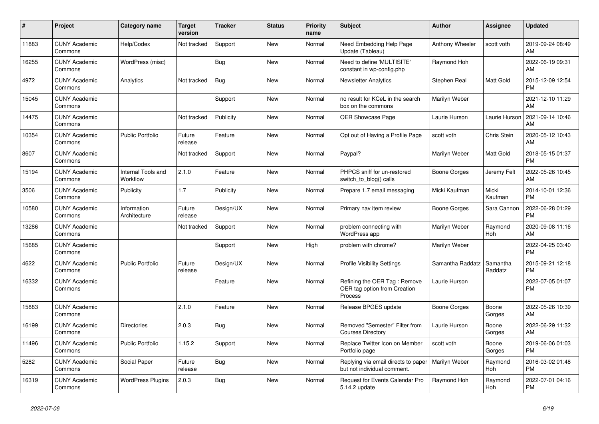| $\pmb{\#}$ | Project                         | <b>Category name</b>           | <b>Target</b><br>version | <b>Tracker</b> | <b>Status</b> | Priority<br>name | <b>Subject</b>                                                          | <b>Author</b>    | Assignee            | <b>Updated</b>                |
|------------|---------------------------------|--------------------------------|--------------------------|----------------|---------------|------------------|-------------------------------------------------------------------------|------------------|---------------------|-------------------------------|
| 11883      | <b>CUNY Academic</b><br>Commons | Help/Codex                     | Not tracked              | Support        | <b>New</b>    | Normal           | Need Embedding Help Page<br>Update (Tableau)                            | Anthony Wheeler  | scott voth          | 2019-09-24 08:49<br>AM        |
| 16255      | <b>CUNY Academic</b><br>Commons | WordPress (misc)               |                          | <b>Bug</b>     | <b>New</b>    | Normal           | Need to define 'MULTISITE'<br>constant in wp-config.php                 | Raymond Hoh      |                     | 2022-06-19 09:31<br>AM        |
| 4972       | <b>CUNY Academic</b><br>Commons | Analytics                      | Not tracked              | Bug            | New           | Normal           | <b>Newsletter Analytics</b>                                             | Stephen Real     | Matt Gold           | 2015-12-09 12:54<br><b>PM</b> |
| 15045      | <b>CUNY Academic</b><br>Commons |                                |                          | Support        | New           | Normal           | no result for KCeL in the search<br>box on the commons                  | Marilyn Weber    |                     | 2021-12-10 11:29<br>AM        |
| 14475      | <b>CUNY Academic</b><br>Commons |                                | Not tracked              | Publicity      | <b>New</b>    | Normal           | <b>OER Showcase Page</b>                                                | Laurie Hurson    | Laurie Hurson       | 2021-09-14 10:46<br>AM        |
| 10354      | <b>CUNY Academic</b><br>Commons | <b>Public Portfolio</b>        | Future<br>release        | Feature        | New           | Normal           | Opt out of Having a Profile Page                                        | scott voth       | <b>Chris Stein</b>  | 2020-05-12 10:43<br>AM        |
| 8607       | <b>CUNY Academic</b><br>Commons |                                | Not tracked              | Support        | New           | Normal           | Paypal?                                                                 | Marilyn Weber    | Matt Gold           | 2018-05-15 01:37<br><b>PM</b> |
| 15194      | <b>CUNY Academic</b><br>Commons | Internal Tools and<br>Workflow | 2.1.0                    | Feature        | <b>New</b>    | Normal           | PHPCS sniff for un-restored<br>switch_to_blog() calls                   | Boone Gorges     | Jeremy Felt         | 2022-05-26 10:45<br>AM        |
| 3506       | <b>CUNY Academic</b><br>Commons | Publicity                      | 1.7                      | Publicity      | New           | Normal           | Prepare 1.7 email messaging                                             | Micki Kaufman    | Micki<br>Kaufman    | 2014-10-01 12:36<br><b>PM</b> |
| 10580      | <b>CUNY Academic</b><br>Commons | Information<br>Architecture    | Future<br>release        | Design/UX      | New           | Normal           | Primary nav item review                                                 | Boone Gorges     | Sara Cannon         | 2022-06-28 01:29<br><b>PM</b> |
| 13286      | <b>CUNY Academic</b><br>Commons |                                | Not tracked              | Support        | <b>New</b>    | Normal           | problem connecting with<br><b>WordPress app</b>                         | Marilyn Weber    | Raymond<br>Hoh      | 2020-09-08 11:16<br>AM        |
| 15685      | <b>CUNY Academic</b><br>Commons |                                |                          | Support        | <b>New</b>    | High             | problem with chrome?                                                    | Marilyn Weber    |                     | 2022-04-25 03:40<br><b>PM</b> |
| 4622       | <b>CUNY Academic</b><br>Commons | Public Portfolio               | Future<br>release        | Design/UX      | <b>New</b>    | Normal           | <b>Profile Visibility Settings</b>                                      | Samantha Raddatz | Samantha<br>Raddatz | 2015-09-21 12:18<br><b>PM</b> |
| 16332      | <b>CUNY Academic</b><br>Commons |                                |                          | Feature        | <b>New</b>    | Normal           | Refining the OER Tag: Remove<br>OER tag option from Creation<br>Process | Laurie Hurson    |                     | 2022-07-05 01:07<br><b>PM</b> |
| 15883      | <b>CUNY Academic</b><br>Commons |                                | 2.1.0                    | Feature        | <b>New</b>    | Normal           | Release BPGES update                                                    | Boone Gorges     | Boone<br>Gorges     | 2022-05-26 10:39<br>AM        |
| 16199      | <b>CUNY Academic</b><br>Commons | Directories                    | 2.0.3                    | <b>Bug</b>     | New           | Normal           | Removed "Semester" Filter from<br><b>Courses Directory</b>              | Laurie Hurson    | Boone<br>Gorges     | 2022-06-29 11:32<br>AM        |
| 11496      | <b>CUNY Academic</b><br>Commons | <b>Public Portfolio</b>        | 1.15.2                   | Support        | <b>New</b>    | Normal           | Replace Twitter Icon on Member<br>Portfolio page                        | scott voth       | Boone<br>Gorges     | 2019-06-06 01:03<br><b>PM</b> |
| 5282       | <b>CUNY Academic</b><br>Commons | Social Paper                   | Future<br>release        | Bug            | New           | Normal           | Replying via email directs to paper<br>but not individual comment.      | Marilyn Weber    | Raymond<br>Hoh      | 2016-03-02 01:48<br><b>PM</b> |
| 16319      | <b>CUNY Academic</b><br>Commons | <b>WordPress Plugins</b>       | 2.0.3                    | <b>Bug</b>     | <b>New</b>    | Normal           | Request for Events Calendar Pro<br>5.14.2 update                        | Raymond Hoh      | Raymond<br>Hoh      | 2022-07-01 04:16<br><b>PM</b> |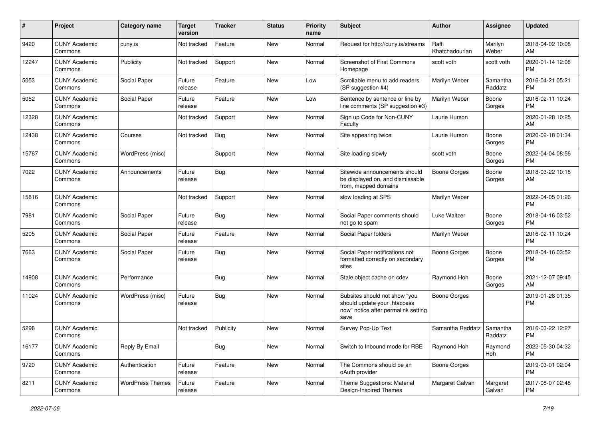| #     | Project                         | <b>Category name</b>    | <b>Target</b><br>version | <b>Tracker</b> | <b>Status</b> | <b>Priority</b><br>name | <b>Subject</b>                                                                                               | Author                  | <b>Assignee</b>     | <b>Updated</b>                |
|-------|---------------------------------|-------------------------|--------------------------|----------------|---------------|-------------------------|--------------------------------------------------------------------------------------------------------------|-------------------------|---------------------|-------------------------------|
| 9420  | <b>CUNY Academic</b><br>Commons | cuny.is                 | Not tracked              | Feature        | <b>New</b>    | Normal                  | Request for http://cuny.is/streams                                                                           | Raffi<br>Khatchadourian | Marilyn<br>Weber    | 2018-04-02 10:08<br>AM        |
| 12247 | <b>CUNY Academic</b><br>Commons | Publicity               | Not tracked              | Support        | New           | Normal                  | Screenshot of First Commons<br>Homepage                                                                      | scott voth              | scott voth          | 2020-01-14 12:08<br><b>PM</b> |
| 5053  | <b>CUNY Academic</b><br>Commons | Social Paper            | Future<br>release        | Feature        | <b>New</b>    | Low                     | Scrollable menu to add readers<br>(SP suggestion #4)                                                         | Marilyn Weber           | Samantha<br>Raddatz | 2016-04-21 05:21<br><b>PM</b> |
| 5052  | <b>CUNY Academic</b><br>Commons | Social Paper            | Future<br>release        | Feature        | <b>New</b>    | Low                     | Sentence by sentence or line by<br>line comments (SP suggestion #3)                                          | Marilyn Weber           | Boone<br>Gorges     | 2016-02-11 10:24<br>PM.       |
| 12328 | <b>CUNY Academic</b><br>Commons |                         | Not tracked              | Support        | New           | Normal                  | Sign up Code for Non-CUNY<br>Faculty                                                                         | Laurie Hurson           |                     | 2020-01-28 10:25<br>AM        |
| 12438 | <b>CUNY Academic</b><br>Commons | Courses                 | Not tracked              | Bug            | New           | Normal                  | Site appearing twice                                                                                         | Laurie Hurson           | Boone<br>Gorges     | 2020-02-18 01:34<br><b>PM</b> |
| 15767 | <b>CUNY Academic</b><br>Commons | WordPress (misc)        |                          | Support        | New           | Normal                  | Site loading slowly                                                                                          | scott voth              | Boone<br>Gorges     | 2022-04-04 08:56<br>PM.       |
| 7022  | <b>CUNY Academic</b><br>Commons | Announcements           | Future<br>release        | <b>Bug</b>     | <b>New</b>    | Normal                  | Sitewide announcements should<br>be displayed on, and dismissable<br>from, mapped domains                    | <b>Boone Gorges</b>     | Boone<br>Gorges     | 2018-03-22 10:18<br>AM.       |
| 15816 | <b>CUNY Academic</b><br>Commons |                         | Not tracked              | Support        | <b>New</b>    | Normal                  | slow loading at SPS                                                                                          | Marilyn Weber           |                     | 2022-04-05 01:26<br>PM.       |
| 7981  | <b>CUNY Academic</b><br>Commons | Social Paper            | Future<br>release        | Bug            | New           | Normal                  | Social Paper comments should<br>not go to spam                                                               | Luke Waltzer            | Boone<br>Gorges     | 2018-04-16 03:52<br><b>PM</b> |
| 5205  | <b>CUNY Academic</b><br>Commons | Social Paper            | Future<br>release        | Feature        | <b>New</b>    | Normal                  | Social Paper folders                                                                                         | Marilyn Weber           |                     | 2016-02-11 10:24<br><b>PM</b> |
| 7663  | <b>CUNY Academic</b><br>Commons | Social Paper            | Future<br>release        | Bug            | <b>New</b>    | Normal                  | Social Paper notifications not<br>formatted correctly on secondary<br>sites                                  | Boone Gorges            | Boone<br>Gorges     | 2018-04-16 03:52<br><b>PM</b> |
| 14908 | <b>CUNY Academic</b><br>Commons | Performance             |                          | Bug            | <b>New</b>    | Normal                  | Stale object cache on cdev                                                                                   | Raymond Hoh             | Boone<br>Gorges     | 2021-12-07 09:45<br>AM        |
| 11024 | <b>CUNY Academic</b><br>Commons | WordPress (misc)        | Future<br>release        | <b>Bug</b>     | <b>New</b>    | Normal                  | Subsites should not show "you<br>should update your .htaccess<br>now" notice after permalink setting<br>save | Boone Gorges            |                     | 2019-01-28 01:35<br><b>PM</b> |
| 5298  | <b>CUNY Academic</b><br>Commons |                         | Not tracked              | Publicity      | New           | Normal                  | Survey Pop-Up Text                                                                                           | Samantha Raddatz        | Samantha<br>Raddatz | 2016-03-22 12:27<br><b>PM</b> |
| 16177 | <b>CUNY Academic</b><br>Commons | Reply By Email          |                          | <b>Bug</b>     | New           | Normal                  | Switch to Inbound mode for RBE                                                                               | Raymond Hoh             | Raymond<br>Hoh      | 2022-05-30 04:32<br>PM.       |
| 9720  | <b>CUNY Academic</b><br>Commons | Authentication          | Future<br>release        | Feature        | New           | Normal                  | The Commons should be an<br>oAuth provider                                                                   | Boone Gorges            |                     | 2019-03-01 02:04<br><b>PM</b> |
| 8211  | <b>CUNY Academic</b><br>Commons | <b>WordPress Themes</b> | Future<br>release        | Feature        | New           | Normal                  | Theme Suggestions: Material<br>Design-Inspired Themes                                                        | Margaret Galvan         | Margaret<br>Galvan  | 2017-08-07 02:48<br><b>PM</b> |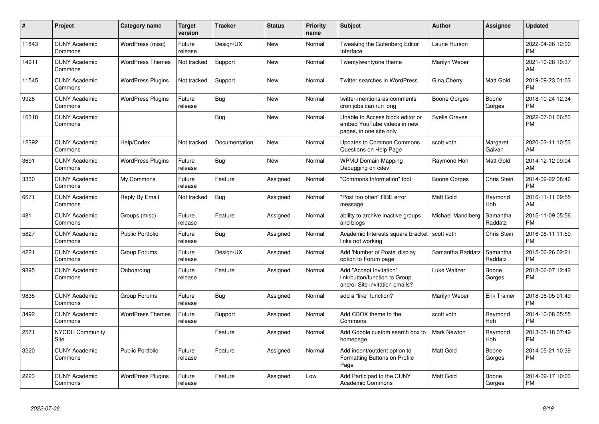| #     | Project                         | <b>Category name</b>     | <b>Target</b><br>version | <b>Tracker</b> | <b>Status</b> | <b>Priority</b><br>name | <b>Subject</b>                                                                             | <b>Author</b>        | Assignee            | <b>Updated</b>                |
|-------|---------------------------------|--------------------------|--------------------------|----------------|---------------|-------------------------|--------------------------------------------------------------------------------------------|----------------------|---------------------|-------------------------------|
| 11843 | <b>CUNY Academic</b><br>Commons | WordPress (misc)         | Future<br>release        | Design/UX      | <b>New</b>    | Normal                  | Tweaking the Gutenberg Editor<br>Interface                                                 | Laurie Hurson        |                     | 2022-04-26 12:00<br><b>PM</b> |
| 14911 | <b>CUNY Academic</b><br>Commons | <b>WordPress Themes</b>  | Not tracked              | Support        | <b>New</b>    | Normal                  | Twentytwentyone theme                                                                      | Marilyn Weber        |                     | 2021-10-28 10:37<br>AM        |
| 11545 | <b>CUNY Academic</b><br>Commons | <b>WordPress Plugins</b> | Not tracked              | Support        | New           | Normal                  | Twitter searches in WordPress                                                              | Gina Cherry          | Matt Gold           | 2019-09-23 01:03<br><b>PM</b> |
| 9926  | <b>CUNY Academic</b><br>Commons | <b>WordPress Plugins</b> | Future<br>release        | <b>Bug</b>     | New           | Normal                  | twitter-mentions-as-comments<br>cron jobs can run long                                     | Boone Gorges         | Boone<br>Gorges     | 2018-10-24 12:34<br><b>PM</b> |
| 16318 | <b>CUNY Academic</b><br>Commons |                          |                          | <b>Bug</b>     | New           | Normal                  | Unable to Access block editor or<br>embed YouTube videos in new<br>pages, in one site only | <b>Syelle Graves</b> |                     | 2022-07-01 06:53<br><b>PM</b> |
| 12392 | <b>CUNY Academic</b><br>Commons | Help/Codex               | Not tracked              | Documentation  | <b>New</b>    | Normal                  | Updates to Common Commons<br>Questions on Help Page                                        | scott voth           | Margaret<br>Galvan  | 2020-02-11 10:53<br>AM        |
| 3691  | <b>CUNY Academic</b><br>Commons | <b>WordPress Plugins</b> | Future<br>release        | Bug            | New           | Normal                  | <b>WPMU Domain Mapping</b><br>Debugging on cdev                                            | Raymond Hoh          | Matt Gold           | 2014-12-12 09:04<br>AM        |
| 3330  | <b>CUNY Academic</b><br>Commons | My Commons               | Future<br>release        | Feature        | Assigned      | Normal                  | 'Commons Information" tool                                                                 | Boone Gorges         | Chris Stein         | 2014-09-22 08:46<br><b>PM</b> |
| 6671  | <b>CUNY Academic</b><br>Commons | Reply By Email           | Not tracked              | Bug            | Assigned      | Normal                  | "Post too often" RBE error<br>message                                                      | <b>Matt Gold</b>     | Raymond<br>Hoh      | 2016-11-11 09:55<br>AM        |
| 481   | <b>CUNY Academic</b><br>Commons | Groups (misc)            | Future<br>release        | Feature        | Assigned      | Normal                  | ability to archive inactive groups<br>and blogs                                            | Michael Mandiberg    | Samantha<br>Raddatz | 2015-11-09 05:56<br><b>PM</b> |
| 5827  | <b>CUNY Academic</b><br>Commons | <b>Public Portfolio</b>  | Future<br>release        | Bug            | Assigned      | Normal                  | Academic Interests square bracket   scott voth<br>links not working                        |                      | Chris Stein         | 2016-08-11 11:59<br><b>PM</b> |
| 4221  | <b>CUNY Academic</b><br>Commons | Group Forums             | Future<br>release        | Design/UX      | Assigned      | Normal                  | Add 'Number of Posts' display<br>option to Forum page                                      | Samantha Raddatz     | Samantha<br>Raddatz | 2015-06-26 02:21<br><b>PM</b> |
| 9895  | <b>CUNY Academic</b><br>Commons | Onboarding               | Future<br>release        | Feature        | Assigned      | Normal                  | Add "Accept Invitation"<br>link/button/function to Group<br>and/or Site invitation emails? | Luke Waltzer         | Boone<br>Gorges     | 2018-06-07 12:42<br><b>PM</b> |
| 9835  | <b>CUNY Academic</b><br>Commons | Group Forums             | Future<br>release        | <b>Bug</b>     | Assigned      | Normal                  | add a "like" function?                                                                     | Marilyn Weber        | Erik Trainer        | 2018-06-05 01:49<br><b>PM</b> |
| 3492  | <b>CUNY Academic</b><br>Commons | <b>WordPress Themes</b>  | Future<br>release        | Support        | Assigned      | Normal                  | Add CBOX theme to the<br>Commons                                                           | scott voth           | Raymond<br>Hoh      | 2014-10-08 05:55<br><b>PM</b> |
| 2571  | <b>NYCDH Community</b><br>Site  |                          |                          | Feature        | Assigned      | Normal                  | Add Google custom search box to<br>homepage                                                | <b>Mark Newton</b>   | Raymond<br>Hoh      | 2013-05-18 07:49<br><b>PM</b> |
| 3220  | <b>CUNY Academic</b><br>Commons | <b>Public Portfolio</b>  | Future<br>release        | Feature        | Assigned      | Normal                  | Add indent/outdent option to<br>Formatting Buttons on Profile<br>Page                      | Matt Gold            | Boone<br>Gorges     | 2014-05-21 10:39<br><b>PM</b> |
| 2223  | <b>CUNY Academic</b><br>Commons | <b>WordPress Plugins</b> | Future<br>release        | Feature        | Assigned      | Low                     | Add Participad to the CUNY<br><b>Academic Commons</b>                                      | Matt Gold            | Boone<br>Gorges     | 2014-09-17 10:03<br><b>PM</b> |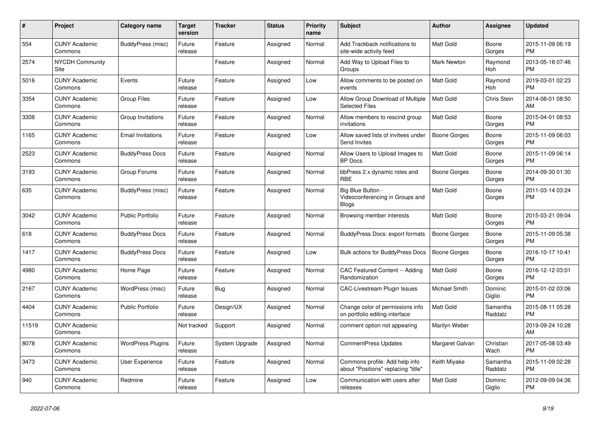| $\#$  | Project                         | <b>Category name</b>     | <b>Target</b><br>version | <b>Tracker</b> | <b>Status</b> | <b>Priority</b><br>name | <b>Subject</b>                                                        | <b>Author</b>       | <b>Assignee</b>     | <b>Updated</b>                |
|-------|---------------------------------|--------------------------|--------------------------|----------------|---------------|-------------------------|-----------------------------------------------------------------------|---------------------|---------------------|-------------------------------|
| 554   | <b>CUNY Academic</b><br>Commons | BuddyPress (misc)        | Future<br>release        | Feature        | Assigned      | Normal                  | Add Trackback notifications to<br>site-wide activity feed             | Matt Gold           | Boone<br>Gorges     | 2015-11-09 06:19<br><b>PM</b> |
| 2574  | <b>NYCDH Community</b><br>Site  |                          |                          | Feature        | Assigned      | Normal                  | Add Way to Upload Files to<br>Groups                                  | <b>Mark Newton</b>  | Raymond<br>Hoh      | 2013-05-18 07:46<br><b>PM</b> |
| 5016  | <b>CUNY Academic</b><br>Commons | Events                   | Future<br>release        | Feature        | Assigned      | Low                     | Allow comments to be posted on<br>events                              | <b>Matt Gold</b>    | Raymond<br>Hoh      | 2019-03-01 02:23<br><b>PM</b> |
| 3354  | <b>CUNY Academic</b><br>Commons | <b>Group Files</b>       | Future<br>release        | Feature        | Assigned      | Low                     | Allow Group Download of Multiple<br><b>Selected Files</b>             | <b>Matt Gold</b>    | Chris Stein         | 2014-08-01 08:50<br>AM        |
| 3308  | <b>CUNY Academic</b><br>Commons | Group Invitations        | Future<br>release        | Feature        | Assigned      | Normal                  | Allow members to rescind group<br>invitations                         | <b>Matt Gold</b>    | Boone<br>Gorges     | 2015-04-01 08:53<br><b>PM</b> |
| 1165  | <b>CUNY Academic</b><br>Commons | <b>Email Invitations</b> | Future<br>release        | Feature        | Assigned      | Low                     | Allow saved lists of invitees under<br>Send Invites                   | Boone Gorges        | Boone<br>Gorges     | 2015-11-09 06:03<br><b>PM</b> |
| 2523  | <b>CUNY Academic</b><br>Commons | <b>BuddyPress Docs</b>   | Future<br>release        | Feature        | Assigned      | Normal                  | Allow Users to Upload Images to<br><b>BP</b> Docs                     | <b>Matt Gold</b>    | Boone<br>Gorges     | 2015-11-09 06:14<br><b>PM</b> |
| 3193  | <b>CUNY Academic</b><br>Commons | Group Forums             | Future<br>release        | Feature        | Assigned      | Normal                  | bbPress 2.x dynamic roles and<br><b>RBE</b>                           | Boone Gorges        | Boone<br>Gorges     | 2014-09-30 01:30<br><b>PM</b> |
| 635   | <b>CUNY Academic</b><br>Commons | BuddyPress (misc)        | Future<br>release        | Feature        | Assigned      | Normal                  | Big Blue Button -<br>Videoconferencing in Groups and<br>Blogs         | Matt Gold           | Boone<br>Gorges     | 2011-03-14 03:24<br><b>PM</b> |
| 3042  | <b>CUNY Academic</b><br>Commons | <b>Public Portfolio</b>  | Future<br>release        | Feature        | Assigned      | Normal                  | Browsing member interests                                             | <b>Matt Gold</b>    | Boone<br>Gorges     | 2015-03-21 09:04<br><b>PM</b> |
| 618   | <b>CUNY Academic</b><br>Commons | <b>BuddyPress Docs</b>   | Future<br>release        | Feature        | Assigned      | Normal                  | BuddyPress Docs: export formats                                       | <b>Boone Gorges</b> | Boone<br>Gorges     | 2015-11-09 05:38<br><b>PM</b> |
| 1417  | <b>CUNY Academic</b><br>Commons | <b>BuddyPress Docs</b>   | Future<br>release        | Feature        | Assigned      | Low                     | <b>Bulk actions for BuddyPress Docs</b>                               | <b>Boone Gorges</b> | Boone<br>Gorges     | 2016-10-17 10:41<br><b>PM</b> |
| 4980  | <b>CUNY Academic</b><br>Commons | Home Page                | Future<br>release        | Feature        | Assigned      | Normal                  | <b>CAC Featured Content -- Adding</b><br>Randomization                | <b>Matt Gold</b>    | Boone<br>Gorges     | 2016-12-12 03:01<br><b>PM</b> |
| 2167  | <b>CUNY Academic</b><br>Commons | WordPress (misc)         | Future<br>release        | Bug            | Assigned      | Normal                  | <b>CAC-Livestream Plugin Issues</b>                                   | Michael Smith       | Dominic<br>Giglio   | 2015-01-02 03:06<br><b>PM</b> |
| 4404  | <b>CUNY Academic</b><br>Commons | <b>Public Portfolio</b>  | Future<br>release        | Design/UX      | Assigned      | Normal                  | Change color of permissions info<br>on portfolio editing interface    | <b>Matt Gold</b>    | Samantha<br>Raddatz | 2015-08-11 05:28<br><b>PM</b> |
| 11519 | <b>CUNY Academic</b><br>Commons |                          | Not tracked              | Support        | Assigned      | Normal                  | comment option not appearing                                          | Marilyn Weber       |                     | 2019-09-24 10:28<br>AM        |
| 8078  | <b>CUNY Academic</b><br>Commons | <b>WordPress Plugins</b> | Future<br>release        | System Upgrade | Assigned      | Normal                  | CommentPress Updates                                                  | Margaret Galvan     | Christian<br>Wach   | 2017-05-08 03:49<br><b>PM</b> |
| 3473  | <b>CUNY Academic</b><br>Commons | <b>User Experience</b>   | Future<br>release        | Feature        | Assigned      | Normal                  | Commons profile: Add help info<br>about "Positions" replacing "title" | Keith Miyake        | Samantha<br>Raddatz | 2015-11-09 02:28<br><b>PM</b> |
| 940   | <b>CUNY Academic</b><br>Commons | Redmine                  | Future<br>release        | Feature        | Assigned      | Low                     | Communication with users after<br>releases                            | Matt Gold           | Dominic<br>Giglio   | 2012-09-09 04:36<br><b>PM</b> |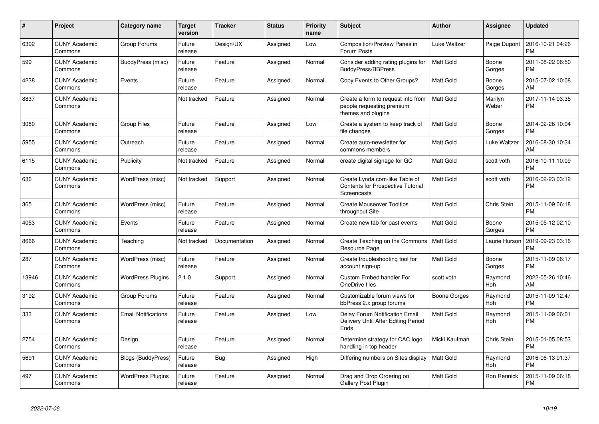| #     | Project                         | <b>Category name</b>       | <b>Target</b><br>version | <b>Tracker</b> | <b>Status</b> | <b>Priority</b><br>name | <b>Subject</b>                                                                        | Author           | <b>Assignee</b>       | <b>Updated</b>                |
|-------|---------------------------------|----------------------------|--------------------------|----------------|---------------|-------------------------|---------------------------------------------------------------------------------------|------------------|-----------------------|-------------------------------|
| 6392  | <b>CUNY Academic</b><br>Commons | Group Forums               | Future<br>release        | Design/UX      | Assigned      | Low                     | Composition/Preview Panes in<br>Forum Posts                                           | Luke Waltzer     | Paige Dupont          | 2016-10-21 04:26<br><b>PM</b> |
| 599   | <b>CUNY Academic</b><br>Commons | BuddyPress (misc)          | Future<br>release        | Feature        | Assigned      | Normal                  | Consider adding rating plugins for<br><b>BuddyPress/BBPress</b>                       | Matt Gold        | Boone<br>Gorges       | 2011-08-22 06:50<br><b>PM</b> |
| 4238  | <b>CUNY Academic</b><br>Commons | Events                     | Future<br>release        | Feature        | Assigned      | Normal                  | Copy Events to Other Groups?                                                          | Matt Gold        | Boone<br>Gorges       | 2015-07-02 10:08<br>AM        |
| 8837  | <b>CUNY Academic</b><br>Commons |                            | Not tracked              | Feature        | Assigned      | Normal                  | Create a form to request info from<br>people requesting premium<br>themes and plugins | <b>Matt Gold</b> | Marilyn<br>Weber      | 2017-11-14 03:35<br>PM        |
| 3080  | <b>CUNY Academic</b><br>Commons | <b>Group Files</b>         | Future<br>release        | Feature        | Assigned      | Low                     | Create a system to keep track of<br>file changes                                      | <b>Matt Gold</b> | Boone<br>Gorges       | 2014-02-26 10:04<br>PM        |
| 5955  | <b>CUNY Academic</b><br>Commons | Outreach                   | Future<br>release        | Feature        | Assigned      | Normal                  | Create auto-newsletter for<br>commons members                                         | Matt Gold        | Luke Waltzer          | 2016-08-30 10:34<br>AM        |
| 6115  | <b>CUNY Academic</b><br>Commons | Publicity                  | Not tracked              | Feature        | Assigned      | Normal                  | create digital signage for GC                                                         | Matt Gold        | scott voth            | 2016-10-11 10:09<br><b>PM</b> |
| 636   | <b>CUNY Academic</b><br>Commons | WordPress (misc)           | Not tracked              | Support        | Assigned      | Normal                  | Create Lynda.com-like Table of<br>Contents for Prospective Tutorial<br>Screencasts    | Matt Gold        | scott voth            | 2016-02-23 03:12<br><b>PM</b> |
| 365   | <b>CUNY Academic</b><br>Commons | WordPress (misc)           | Future<br>release        | Feature        | Assigned      | Normal                  | <b>Create Mouseover Tooltips</b><br>throughout Site                                   | Matt Gold        | Chris Stein           | 2015-11-09 06:18<br><b>PM</b> |
| 4053  | <b>CUNY Academic</b><br>Commons | Events                     | Future<br>release        | Feature        | Assigned      | Normal                  | Create new tab for past events                                                        | Matt Gold        | Boone<br>Gorges       | 2015-05-12 02:10<br>PM        |
| 8666  | <b>CUNY Academic</b><br>Commons | Teaching                   | Not tracked              | Documentation  | Assigned      | Normal                  | Create Teaching on the Commons<br><b>Resource Page</b>                                | Matt Gold        | Laurie Hurson         | 2019-09-23 03:16<br><b>PM</b> |
| 287   | <b>CUNY Academic</b><br>Commons | WordPress (misc)           | Future<br>release        | Feature        | Assigned      | Normal                  | Create troubleshooting tool for<br>account sign-up                                    | Matt Gold        | Boone<br>Gorges       | 2015-11-09 06:17<br><b>PM</b> |
| 13946 | <b>CUNY Academic</b><br>Commons | <b>WordPress Plugins</b>   | 2.1.0                    | Support        | Assigned      | Normal                  | <b>Custom Embed handler For</b><br>OneDrive files                                     | scott voth       | Raymond<br>Hoh        | 2022-05-26 10:46<br>AM        |
| 3192  | <b>CUNY Academic</b><br>Commons | Group Forums               | Future<br>release        | Feature        | Assigned      | Normal                  | Customizable forum views for<br>bbPress 2.x group forums                              | Boone Gorges     | Raymond<br><b>Hoh</b> | 2015-11-09 12:47<br><b>PM</b> |
| 333   | <b>CUNY Academic</b><br>Commons | <b>Email Notifications</b> | Future<br>release        | Feature        | Assigned      | Low                     | Delay Forum Notification Email<br>Delivery Until After Editing Period<br>Ends         | Matt Gold        | Raymond<br><b>Hoh</b> | 2015-11-09 06:01<br><b>PM</b> |
| 2754  | <b>CUNY Academic</b><br>Commons | Design                     | Future<br>release        | Feature        | Assigned      | Normal                  | Determine strategy for CAC logo<br>handling in top header                             | Micki Kaufman    | Chris Stein           | 2015-01-05 08:53<br><b>PM</b> |
| 5691  | <b>CUNY Academic</b><br>Commons | <b>Blogs (BuddyPress)</b>  | Future<br>release        | <b>Bug</b>     | Assigned      | High                    | Differing numbers on Sites display                                                    | <b>Matt Gold</b> | Raymond<br><b>Hoh</b> | 2016-06-13 01:37<br><b>PM</b> |
| 497   | <b>CUNY Academic</b><br>Commons | <b>WordPress Plugins</b>   | Future<br>release        | Feature        | Assigned      | Normal                  | Drag and Drop Ordering on<br><b>Gallery Post Plugin</b>                               | Matt Gold        | <b>Ron Rennick</b>    | 2015-11-09 06:18<br>PM        |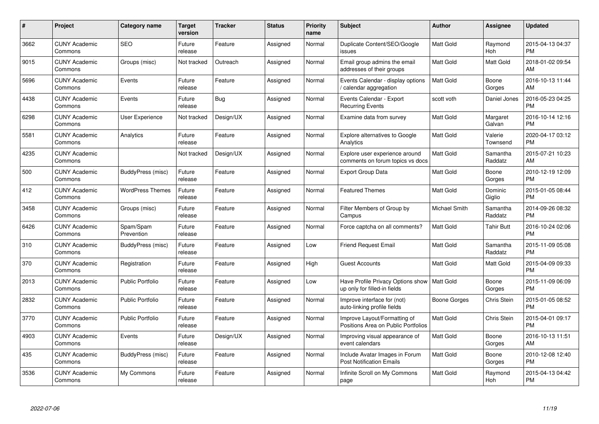| #    | Project                         | Category name           | Target<br>version | <b>Tracker</b> | <b>Status</b> | Priority<br>name | <b>Subject</b>                                                                | <b>Author</b>        | <b>Assignee</b>     | <b>Updated</b>                |
|------|---------------------------------|-------------------------|-------------------|----------------|---------------|------------------|-------------------------------------------------------------------------------|----------------------|---------------------|-------------------------------|
| 3662 | <b>CUNY Academic</b><br>Commons | <b>SEO</b>              | Future<br>release | Feature        | Assigned      | Normal           | Duplicate Content/SEO/Google<br>issues                                        | <b>Matt Gold</b>     | Raymond<br>Hoh      | 2015-04-13 04:37<br><b>PM</b> |
| 9015 | <b>CUNY Academic</b><br>Commons | Groups (misc)           | Not tracked       | Outreach       | Assigned      | Normal           | Email group admins the email<br>addresses of their groups                     | <b>Matt Gold</b>     | Matt Gold           | 2018-01-02 09:54<br>AM        |
| 5696 | <b>CUNY Academic</b><br>Commons | Events                  | Future<br>release | Feature        | Assigned      | Normal           | Events Calendar - display options<br>calendar aggregation                     | <b>Matt Gold</b>     | Boone<br>Gorges     | 2016-10-13 11:44<br>AM        |
| 4438 | <b>CUNY Academic</b><br>Commons | Events                  | Future<br>release | <b>Bug</b>     | Assigned      | Normal           | Events Calendar - Export<br><b>Recurring Events</b>                           | scott voth           | Daniel Jones        | 2016-05-23 04:25<br><b>PM</b> |
| 6298 | <b>CUNY Academic</b><br>Commons | User Experience         | Not tracked       | Design/UX      | Assigned      | Normal           | Examine data from survey                                                      | <b>Matt Gold</b>     | Margaret<br>Galvan  | 2016-10-14 12:16<br><b>PM</b> |
| 5581 | <b>CUNY Academic</b><br>Commons | Analytics               | Future<br>release | Feature        | Assigned      | Normal           | Explore alternatives to Google<br>Analytics                                   | Matt Gold            | Valerie<br>Townsend | 2020-04-17 03:12<br><b>PM</b> |
| 4235 | <b>CUNY Academic</b><br>Commons |                         | Not tracked       | Design/UX      | Assigned      | Normal           | Explore user experience around<br>comments on forum topics vs docs            | <b>Matt Gold</b>     | Samantha<br>Raddatz | 2015-07-21 10:23<br>AM        |
| 500  | <b>CUNY Academic</b><br>Commons | BuddyPress (misc)       | Future<br>release | Feature        | Assigned      | Normal           | <b>Export Group Data</b>                                                      | <b>Matt Gold</b>     | Boone<br>Gorges     | 2010-12-19 12:09<br><b>PM</b> |
| 412  | <b>CUNY Academic</b><br>Commons | <b>WordPress Themes</b> | Future<br>release | Feature        | Assigned      | Normal           | <b>Featured Themes</b>                                                        | <b>Matt Gold</b>     | Dominic<br>Giglio   | 2015-01-05 08:44<br><b>PM</b> |
| 3458 | <b>CUNY Academic</b><br>Commons | Groups (misc)           | Future<br>release | Feature        | Assigned      | Normal           | Filter Members of Group by<br>Campus                                          | <b>Michael Smith</b> | Samantha<br>Raddatz | 2014-09-26 08:32<br><b>PM</b> |
| 6426 | <b>CUNY Academic</b><br>Commons | Spam/Spam<br>Prevention | Future<br>release | Feature        | Assigned      | Normal           | Force captcha on all comments?                                                | <b>Matt Gold</b>     | Tahir Butt          | 2016-10-24 02:06<br><b>PM</b> |
| 310  | <b>CUNY Academic</b><br>Commons | BuddyPress (misc)       | Future<br>release | Feature        | Assigned      | Low              | <b>Friend Request Email</b>                                                   | <b>Matt Gold</b>     | Samantha<br>Raddatz | 2015-11-09 05:08<br><b>PM</b> |
| 370  | <b>CUNY Academic</b><br>Commons | Registration            | Future<br>release | Feature        | Assigned      | High             | <b>Guest Accounts</b>                                                         | <b>Matt Gold</b>     | Matt Gold           | 2015-04-09 09:33<br><b>PM</b> |
| 2013 | <b>CUNY Academic</b><br>Commons | <b>Public Portfolio</b> | Future<br>release | Feature        | Assigned      | Low              | Have Profile Privacy Options show   Matt Gold<br>up only for filled-in fields |                      | Boone<br>Gorges     | 2015-11-09 06:09<br><b>PM</b> |
| 2832 | <b>CUNY Academic</b><br>Commons | Public Portfolio        | Future<br>release | Feature        | Assigned      | Normal           | Improve interface for (not)<br>auto-linking profile fields                    | Boone Gorges         | Chris Stein         | 2015-01-05 08:52<br><b>PM</b> |
| 3770 | <b>CUNY Academic</b><br>Commons | <b>Public Portfolio</b> | Future<br>release | Feature        | Assigned      | Normal           | Improve Layout/Formatting of<br>Positions Area on Public Portfolios           | <b>Matt Gold</b>     | Chris Stein         | 2015-04-01 09:17<br><b>PM</b> |
| 4903 | <b>CUNY Academic</b><br>Commons | Events                  | Future<br>release | Design/UX      | Assigned      | Normal           | Improving visual appearance of<br>event calendars                             | <b>Matt Gold</b>     | Boone<br>Gorges     | 2016-10-13 11:51<br>AM        |
| 435  | <b>CUNY Academic</b><br>Commons | BuddyPress (misc)       | Future<br>release | Feature        | Assigned      | Normal           | Include Avatar Images in Forum<br><b>Post Notification Emails</b>             | Matt Gold            | Boone<br>Gorges     | 2010-12-08 12:40<br><b>PM</b> |
| 3536 | <b>CUNY Academic</b><br>Commons | My Commons              | Future<br>release | Feature        | Assigned      | Normal           | Infinite Scroll on My Commons<br>page                                         | Matt Gold            | Raymond<br>Hoh      | 2015-04-13 04:42<br><b>PM</b> |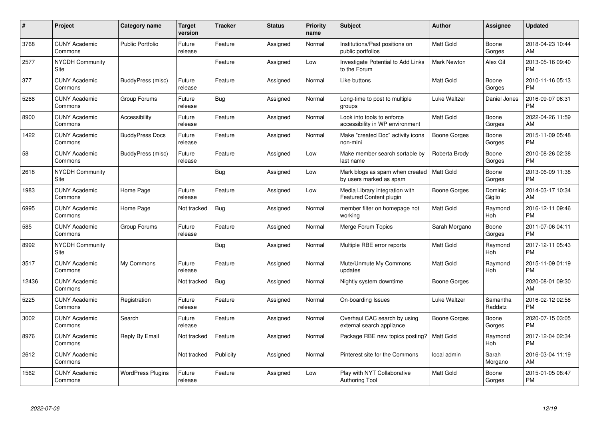| #     | Project                         | Category name            | Target<br>version | <b>Tracker</b> | <b>Status</b> | <b>Priority</b><br>name | <b>Subject</b>                                                   | <b>Author</b>    | Assignee            | <b>Updated</b>                |
|-------|---------------------------------|--------------------------|-------------------|----------------|---------------|-------------------------|------------------------------------------------------------------|------------------|---------------------|-------------------------------|
| 3768  | <b>CUNY Academic</b><br>Commons | <b>Public Portfolio</b>  | Future<br>release | Feature        | Assigned      | Normal                  | Institutions/Past positions on<br>public portfolios              | <b>Matt Gold</b> | Boone<br>Gorges     | 2018-04-23 10:44<br>AM        |
| 2577  | NYCDH Community<br>Site         |                          |                   | Feature        | Assigned      | Low                     | Investigate Potential to Add Links<br>to the Forum               | Mark Newton      | Alex Gil            | 2013-05-16 09:40<br><b>PM</b> |
| 377   | <b>CUNY Academic</b><br>Commons | BuddyPress (misc)        | Future<br>release | Feature        | Assigned      | Normal                  | Like buttons                                                     | Matt Gold        | Boone<br>Gorges     | 2010-11-16 05:13<br><b>PM</b> |
| 5268  | <b>CUNY Academic</b><br>Commons | Group Forums             | Future<br>release | Bug            | Assigned      | Normal                  | Long-time to post to multiple<br>groups                          | Luke Waltzer     | Daniel Jones        | 2016-09-07 06:31<br><b>PM</b> |
| 8900  | <b>CUNY Academic</b><br>Commons | Accessibility            | Future<br>release | Feature        | Assigned      | Normal                  | Look into tools to enforce<br>accessibility in WP environment    | Matt Gold        | Boone<br>Gorges     | 2022-04-26 11:59<br>AM.       |
| 1422  | <b>CUNY Academic</b><br>Commons | <b>BuddyPress Docs</b>   | Future<br>release | Feature        | Assigned      | Normal                  | Make "created Doc" activity icons<br>non-mini                    | Boone Gorges     | Boone<br>Gorges     | 2015-11-09 05:48<br><b>PM</b> |
| 58    | <b>CUNY Academic</b><br>Commons | BuddyPress (misc)        | Future<br>release | Feature        | Assigned      | Low                     | Make member search sortable by<br>last name                      | Roberta Brody    | Boone<br>Gorges     | 2010-08-26 02:38<br><b>PM</b> |
| 2618  | <b>NYCDH Community</b><br>Site  |                          |                   | Bug            | Assigned      | Low                     | Mark blogs as spam when created<br>by users marked as spam       | <b>Matt Gold</b> | Boone<br>Gorges     | 2013-06-09 11:38<br><b>PM</b> |
| 1983  | <b>CUNY Academic</b><br>Commons | Home Page                | Future<br>release | Feature        | Assigned      | Low                     | Media Library integration with<br><b>Featured Content plugin</b> | Boone Gorges     | Dominic<br>Giglio   | 2014-03-17 10:34<br>AM        |
| 6995  | <b>CUNY Academic</b><br>Commons | Home Page                | Not tracked       | Bug            | Assigned      | Normal                  | member filter on homepage not<br>working                         | Matt Gold        | Raymond<br>Hoh      | 2016-12-11 09:46<br><b>PM</b> |
| 585   | <b>CUNY Academic</b><br>Commons | Group Forums             | Future<br>release | Feature        | Assigned      | Normal                  | Merge Forum Topics                                               | Sarah Morgano    | Boone<br>Gorges     | 2011-07-06 04:11<br><b>PM</b> |
| 8992  | <b>NYCDH Community</b><br>Site  |                          |                   | <b>Bug</b>     | Assigned      | Normal                  | Multiple RBE error reports                                       | Matt Gold        | Raymond<br>Hoh      | 2017-12-11 05:43<br><b>PM</b> |
| 3517  | <b>CUNY Academic</b><br>Commons | My Commons               | Future<br>release | Feature        | Assigned      | Normal                  | Mute/Unmute My Commons<br>updates                                | Matt Gold        | Raymond<br>Hoh      | 2015-11-09 01:19<br><b>PM</b> |
| 12436 | <b>CUNY Academic</b><br>Commons |                          | Not tracked       | Bug            | Assigned      | Normal                  | Nightly system downtime                                          | Boone Gorges     |                     | 2020-08-01 09:30<br>AM        |
| 5225  | <b>CUNY Academic</b><br>Commons | Registration             | Future<br>release | Feature        | Assigned      | Normal                  | On-boarding Issues                                               | Luke Waltzer     | Samantha<br>Raddatz | 2016-02-12 02:58<br><b>PM</b> |
| 3002  | <b>CUNY Academic</b><br>Commons | Search                   | Future<br>release | Feature        | Assigned      | Normal                  | Overhaul CAC search by using<br>external search appliance        | Boone Gorges     | Boone<br>Gorges     | 2020-07-15 03:05<br><b>PM</b> |
| 8976  | <b>CUNY Academic</b><br>Commons | Reply By Email           | Not tracked       | Feature        | Assigned      | Normal                  | Package RBE new topics posting?                                  | <b>Matt Gold</b> | Raymond<br>Hoh      | 2017-12-04 02:34<br><b>PM</b> |
| 2612  | <b>CUNY Academic</b><br>Commons |                          | Not tracked       | Publicity      | Assigned      | Normal                  | Pinterest site for the Commons                                   | local admin      | Sarah<br>Morgano    | 2016-03-04 11:19<br>AM        |
| 1562  | <b>CUNY Academic</b><br>Commons | <b>WordPress Plugins</b> | Future<br>release | Feature        | Assigned      | Low                     | Play with NYT Collaborative<br><b>Authoring Tool</b>             | Matt Gold        | Boone<br>Gorges     | 2015-01-05 08:47<br>PM        |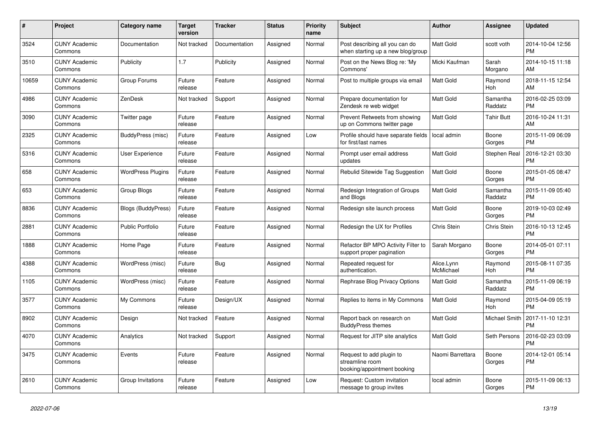| $\pmb{\#}$ | <b>Project</b>                  | Category name             | <b>Target</b><br>version | <b>Tracker</b> | <b>Status</b> | Priority<br>name | <b>Subject</b>                                                             | <b>Author</b>           | Assignee            | <b>Updated</b>                |
|------------|---------------------------------|---------------------------|--------------------------|----------------|---------------|------------------|----------------------------------------------------------------------------|-------------------------|---------------------|-------------------------------|
| 3524       | <b>CUNY Academic</b><br>Commons | Documentation             | Not tracked              | Documentation  | Assigned      | Normal           | Post describing all you can do<br>when starting up a new blog/group        | <b>Matt Gold</b>        | scott voth          | 2014-10-04 12:56<br><b>PM</b> |
| 3510       | <b>CUNY Academic</b><br>Commons | Publicity                 | 1.7                      | Publicity      | Assigned      | Normal           | Post on the News Blog re: 'My<br>Commons'                                  | Micki Kaufman           | Sarah<br>Morgano    | 2014-10-15 11:18<br>AM        |
| 10659      | <b>CUNY Academic</b><br>Commons | Group Forums              | Future<br>release        | Feature        | Assigned      | Normal           | Post to multiple groups via email                                          | <b>Matt Gold</b>        | Raymond<br>Hoh      | 2018-11-15 12:54<br>AM        |
| 4986       | <b>CUNY Academic</b><br>Commons | ZenDesk                   | Not tracked              | Support        | Assigned      | Normal           | Prepare documentation for<br>Zendesk re web widget                         | Matt Gold               | Samantha<br>Raddatz | 2016-02-25 03:09<br><b>PM</b> |
| 3090       | <b>CUNY Academic</b><br>Commons | Twitter page              | Future<br>release        | Feature        | Assigned      | Normal           | Prevent Retweets from showing<br>up on Commons twitter page                | Matt Gold               | Tahir Butt          | 2016-10-24 11:31<br>AM        |
| 2325       | <b>CUNY Academic</b><br>Commons | BuddyPress (misc)         | Future<br>release        | Feature        | Assigned      | Low              | Profile should have separate fields<br>for first/last names                | local admin             | Boone<br>Gorges     | 2015-11-09 06:09<br><b>PM</b> |
| 5316       | <b>CUNY Academic</b><br>Commons | <b>User Experience</b>    | Future<br>release        | Feature        | Assigned      | Normal           | Prompt user email address<br>updates                                       | Matt Gold               | Stephen Real        | 2016-12-21 03:30<br><b>PM</b> |
| 658        | <b>CUNY Academic</b><br>Commons | <b>WordPress Plugins</b>  | Future<br>release        | Feature        | Assigned      | Normal           | Rebulid Sitewide Tag Suggestion                                            | Matt Gold               | Boone<br>Gorges     | 2015-01-05 08:47<br><b>PM</b> |
| 653        | <b>CUNY Academic</b><br>Commons | Group Blogs               | Future<br>release        | Feature        | Assigned      | Normal           | Redesign Integration of Groups<br>and Blogs                                | Matt Gold               | Samantha<br>Raddatz | 2015-11-09 05:40<br><b>PM</b> |
| 8836       | <b>CUNY Academic</b><br>Commons | <b>Blogs (BuddyPress)</b> | Future<br>release        | Feature        | Assigned      | Normal           | Redesign site launch process                                               | <b>Matt Gold</b>        | Boone<br>Gorges     | 2019-10-03 02:49<br><b>PM</b> |
| 2881       | <b>CUNY Academic</b><br>Commons | <b>Public Portfolio</b>   | Future<br>release        | Feature        | Assigned      | Normal           | Redesign the UX for Profiles                                               | Chris Stein             | Chris Stein         | 2016-10-13 12:45<br><b>PM</b> |
| 1888       | <b>CUNY Academic</b><br>Commons | Home Page                 | Future<br>release        | Feature        | Assigned      | Normal           | Refactor BP MPO Activity Filter to<br>support proper pagination            | Sarah Morgano           | Boone<br>Gorges     | 2014-05-01 07:11<br><b>PM</b> |
| 4388       | <b>CUNY Academic</b><br>Commons | WordPress (misc)          | Future<br>release        | Bug            | Assigned      | Normal           | Repeated request for<br>authentication.                                    | Alice.Lynn<br>McMichael | Raymond<br>Hoh      | 2015-08-11 07:35<br><b>PM</b> |
| 1105       | <b>CUNY Academic</b><br>Commons | WordPress (misc)          | Future<br>release        | Feature        | Assigned      | Normal           | Rephrase Blog Privacy Options                                              | <b>Matt Gold</b>        | Samantha<br>Raddatz | 2015-11-09 06:19<br><b>PM</b> |
| 3577       | <b>CUNY Academic</b><br>Commons | My Commons                | Future<br>release        | Design/UX      | Assigned      | Normal           | Replies to items in My Commons                                             | Matt Gold               | Raymond<br>Hoh      | 2015-04-09 05:19<br><b>PM</b> |
| 8902       | <b>CUNY Academic</b><br>Commons | Design                    | Not tracked              | Feature        | Assigned      | Normal           | Report back on research on<br><b>BuddyPress themes</b>                     | Matt Gold               | Michael Smith       | 2017-11-10 12:31<br><b>PM</b> |
| 4070       | <b>CUNY Academic</b><br>Commons | Analytics                 | Not tracked              | Support        | Assigned      | Normal           | Request for JITP site analytics                                            | Matt Gold               | Seth Persons        | 2016-02-23 03:09<br><b>PM</b> |
| 3475       | <b>CUNY Academic</b><br>Commons | Events                    | Future<br>release        | Feature        | Assigned      | Normal           | Request to add plugin to<br>streamline room<br>booking/appointment booking | Naomi Barrettara        | Boone<br>Gorges     | 2014-12-01 05:14<br><b>PM</b> |
| 2610       | <b>CUNY Academic</b><br>Commons | Group Invitations         | Future<br>release        | Feature        | Assigned      | Low              | Request: Custom invitation<br>message to group invites                     | local admin             | Boone<br>Gorges     | 2015-11-09 06:13<br><b>PM</b> |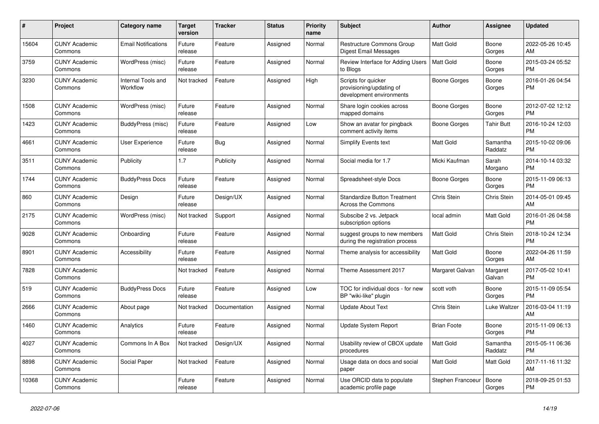| #     | <b>Project</b>                  | Category name                  | <b>Target</b><br>version | <b>Tracker</b> | <b>Status</b> | Priority<br>name | <b>Subject</b>                                                              | <b>Author</b>      | Assignee            | <b>Updated</b>                |
|-------|---------------------------------|--------------------------------|--------------------------|----------------|---------------|------------------|-----------------------------------------------------------------------------|--------------------|---------------------|-------------------------------|
| 15604 | <b>CUNY Academic</b><br>Commons | <b>Email Notifications</b>     | Future<br>release        | Feature        | Assigned      | Normal           | Restructure Commons Group<br><b>Digest Email Messages</b>                   | <b>Matt Gold</b>   | Boone<br>Gorges     | 2022-05-26 10:45<br>AM        |
| 3759  | <b>CUNY Academic</b><br>Commons | WordPress (misc)               | Future<br>release        | Feature        | Assigned      | Normal           | Review Interface for Adding Users<br>to Blogs                               | <b>Matt Gold</b>   | Boone<br>Gorges     | 2015-03-24 05:52<br><b>PM</b> |
| 3230  | <b>CUNY Academic</b><br>Commons | Internal Tools and<br>Workflow | Not tracked              | Feature        | Assigned      | High             | Scripts for quicker<br>provisioning/updating of<br>development environments | Boone Gorges       | Boone<br>Gorges     | 2016-01-26 04:54<br><b>PM</b> |
| 1508  | <b>CUNY Academic</b><br>Commons | WordPress (misc)               | Future<br>release        | Feature        | Assigned      | Normal           | Share login cookies across<br>mapped domains                                | Boone Gorges       | Boone<br>Gorges     | 2012-07-02 12:12<br><b>PM</b> |
| 1423  | <b>CUNY Academic</b><br>Commons | BuddyPress (misc)              | Future<br>release        | Feature        | Assigned      | Low              | Show an avatar for pingback<br>comment activity items                       | Boone Gorges       | Tahir Butt          | 2016-10-24 12:03<br><b>PM</b> |
| 4661  | <b>CUNY Academic</b><br>Commons | <b>User Experience</b>         | Future<br>release        | Bug            | Assigned      | Normal           | <b>Simplify Events text</b>                                                 | <b>Matt Gold</b>   | Samantha<br>Raddatz | 2015-10-02 09:06<br><b>PM</b> |
| 3511  | <b>CUNY Academic</b><br>Commons | Publicity                      | 1.7                      | Publicity      | Assigned      | Normal           | Social media for 1.7                                                        | Micki Kaufman      | Sarah<br>Morgano    | 2014-10-14 03:32<br><b>PM</b> |
| 1744  | <b>CUNY Academic</b><br>Commons | <b>BuddyPress Docs</b>         | Future<br>release        | Feature        | Assigned      | Normal           | Spreadsheet-style Docs                                                      | Boone Gorges       | Boone<br>Gorges     | 2015-11-09 06:13<br><b>PM</b> |
| 860   | <b>CUNY Academic</b><br>Commons | Design                         | Future<br>release        | Design/UX      | Assigned      | Normal           | <b>Standardize Button Treatment</b><br><b>Across the Commons</b>            | Chris Stein        | Chris Stein         | 2014-05-01 09:45<br>AM        |
| 2175  | <b>CUNY Academic</b><br>Commons | WordPress (misc)               | Not tracked              | Support        | Assigned      | Normal           | Subscibe 2 vs. Jetpack<br>subscription options                              | local admin        | Matt Gold           | 2016-01-26 04:58<br><b>PM</b> |
| 9028  | <b>CUNY Academic</b><br>Commons | Onboarding                     | Future<br>release        | Feature        | Assigned      | Normal           | suggest groups to new members<br>during the registration process            | Matt Gold          | Chris Stein         | 2018-10-24 12:34<br><b>PM</b> |
| 8901  | <b>CUNY Academic</b><br>Commons | Accessibility                  | Future<br>release        | Feature        | Assigned      | Normal           | Theme analysis for accessibility                                            | <b>Matt Gold</b>   | Boone<br>Gorges     | 2022-04-26 11:59<br>AM        |
| 7828  | <b>CUNY Academic</b><br>Commons |                                | Not tracked              | Feature        | Assigned      | Normal           | Theme Assessment 2017                                                       | Margaret Galvan    | Margaret<br>Galvan  | 2017-05-02 10:41<br><b>PM</b> |
| 519   | <b>CUNY Academic</b><br>Commons | <b>BuddyPress Docs</b>         | Future<br>release        | Feature        | Assigned      | Low              | TOC for individual docs - for new<br>BP "wiki-like" plugin                  | scott voth         | Boone<br>Gorges     | 2015-11-09 05:54<br><b>PM</b> |
| 2666  | <b>CUNY Academic</b><br>Commons | About page                     | Not tracked              | Documentation  | Assigned      | Normal           | <b>Update About Text</b>                                                    | Chris Stein        | Luke Waltzer        | 2016-03-04 11:19<br>AM        |
| 1460  | <b>CUNY Academic</b><br>Commons | Analytics                      | Future<br>release        | Feature        | Assigned      | Normal           | Update System Report                                                        | <b>Brian Foote</b> | Boone<br>Gorges     | 2015-11-09 06:13<br><b>PM</b> |
| 4027  | <b>CUNY Academic</b><br>Commons | Commons In A Box               | Not tracked              | Design/UX      | Assigned      | Normal           | Usability review of CBOX update<br>procedures                               | Matt Gold          | Samantha<br>Raddatz | 2015-05-11 06:36<br><b>PM</b> |
| 8898  | <b>CUNY Academic</b><br>Commons | Social Paper                   | Not tracked              | Feature        | Assigned      | Normal           | Usage data on docs and social<br>paper                                      | Matt Gold          | Matt Gold           | 2017-11-16 11:32<br>AM        |
| 10368 | <b>CUNY Academic</b><br>Commons |                                | Future<br>release        | Feature        | Assigned      | Normal           | Use ORCID data to populate<br>academic profile page                         | Stephen Francoeur  | Boone<br>Gorges     | 2018-09-25 01:53<br><b>PM</b> |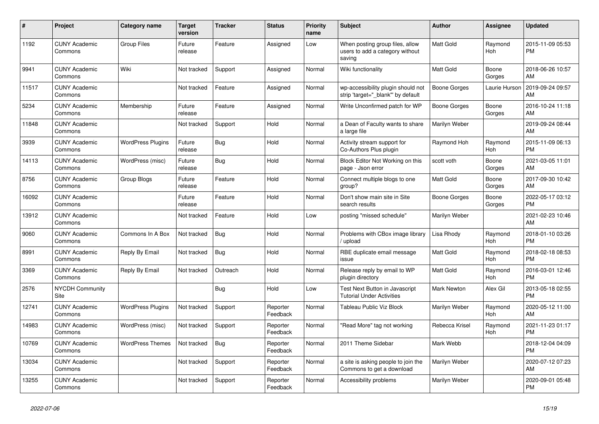| #     | Project                         | <b>Category name</b>     | <b>Target</b><br>version | <b>Tracker</b> | <b>Status</b>        | Priority<br>name | <b>Subject</b>                                                               | <b>Author</b>       | Assignee        | <b>Updated</b>                |
|-------|---------------------------------|--------------------------|--------------------------|----------------|----------------------|------------------|------------------------------------------------------------------------------|---------------------|-----------------|-------------------------------|
| 1192  | <b>CUNY Academic</b><br>Commons | <b>Group Files</b>       | Future<br>release        | Feature        | Assigned             | Low              | When posting group files, allow<br>users to add a category without<br>saving | <b>Matt Gold</b>    | Raymond<br>Hoh  | 2015-11-09 05:53<br><b>PM</b> |
| 9941  | <b>CUNY Academic</b><br>Commons | Wiki                     | Not tracked              | Support        | Assigned             | Normal           | Wiki functionality                                                           | <b>Matt Gold</b>    | Boone<br>Gorges | 2018-06-26 10:57<br>AM        |
| 11517 | <b>CUNY Academic</b><br>Commons |                          | Not tracked              | Feature        | Assigned             | Normal           | wp-accessibility plugin should not<br>strip 'target="_blank"' by default     | <b>Boone Gorges</b> | Laurie Hurson   | 2019-09-24 09:57<br>AM        |
| 5234  | <b>CUNY Academic</b><br>Commons | Membership               | Future<br>release        | Feature        | Assigned             | Normal           | Write Unconfirmed patch for WP                                               | Boone Gorges        | Boone<br>Gorges | 2016-10-24 11:18<br>AM        |
| 11848 | <b>CUNY Academic</b><br>Commons |                          | Not tracked              | Support        | Hold                 | Normal           | a Dean of Faculty wants to share<br>a large file                             | Marilyn Weber       |                 | 2019-09-24 08:44<br>AM        |
| 3939  | <b>CUNY Academic</b><br>Commons | <b>WordPress Plugins</b> | Future<br>release        | Bug            | Hold                 | Normal           | Activity stream support for<br>Co-Authors Plus plugin                        | Raymond Hoh         | Raymond<br>Hoh  | 2015-11-09 06:13<br><b>PM</b> |
| 14113 | <b>CUNY Academic</b><br>Commons | WordPress (misc)         | Future<br>release        | <b>Bug</b>     | Hold                 | Normal           | Block Editor Not Working on this<br>page - Json error                        | scott voth          | Boone<br>Gorges | 2021-03-05 11:01<br>AM        |
| 8756  | <b>CUNY Academic</b><br>Commons | Group Blogs              | Future<br>release        | Feature        | Hold                 | Normal           | Connect multiple blogs to one<br>group?                                      | <b>Matt Gold</b>    | Boone<br>Gorges | 2017-09-30 10:42<br>AM        |
| 16092 | <b>CUNY Academic</b><br>Commons |                          | Future<br>release        | Feature        | Hold                 | Normal           | Don't show main site in Site<br>search results                               | Boone Gorges        | Boone<br>Gorges | 2022-05-17 03:12<br><b>PM</b> |
| 13912 | <b>CUNY Academic</b><br>Commons |                          | Not tracked              | Feature        | Hold                 | Low              | posting "missed schedule"                                                    | Marilyn Weber       |                 | 2021-02-23 10:46<br>AM        |
| 9060  | <b>CUNY Academic</b><br>Commons | Commons In A Box         | Not tracked              | Bug            | Hold                 | Normal           | Problems with CBox image library<br>/ upload                                 | Lisa Rhody          | Raymond<br>Hoh  | 2018-01-10 03:26<br><b>PM</b> |
| 8991  | <b>CUNY Academic</b><br>Commons | Reply By Email           | Not tracked              | Bug            | Hold                 | Normal           | RBE duplicate email message<br>issue                                         | <b>Matt Gold</b>    | Raymond<br>Hoh  | 2018-02-18 08:53<br><b>PM</b> |
| 3369  | <b>CUNY Academic</b><br>Commons | Reply By Email           | Not tracked              | Outreach       | Hold                 | Normal           | Release reply by email to WP<br>plugin directory                             | <b>Matt Gold</b>    | Raymond<br>Hoh  | 2016-03-01 12:46<br><b>PM</b> |
| 2576  | <b>NYCDH Community</b><br>Site  |                          |                          | Bug            | Hold                 | Low              | Test Next Button in Javascript<br><b>Tutorial Under Activities</b>           | Mark Newton         | Alex Gil        | 2013-05-18 02:55<br><b>PM</b> |
| 12741 | <b>CUNY Academic</b><br>Commons | <b>WordPress Plugins</b> | Not tracked              | Support        | Reporter<br>Feedback | Normal           | <b>Tableau Public Viz Block</b>                                              | Marilyn Weber       | Raymond<br>Hoh  | 2020-05-12 11:00<br>AM        |
| 14983 | <b>CUNY Academic</b><br>Commons | WordPress (misc)         | Not tracked              | Support        | Reporter<br>Feedback | Normal           | "Read More" tag not working                                                  | Rebecca Krisel      | Raymond<br>Hoh  | 2021-11-23 01:17<br><b>PM</b> |
| 10769 | <b>CUNY Academic</b><br>Commons | <b>WordPress Themes</b>  | Not tracked              | Bug            | Reporter<br>Feedback | Normal           | 2011 Theme Sidebar                                                           | Mark Webb           |                 | 2018-12-04 04:09<br><b>PM</b> |
| 13034 | <b>CUNY Academic</b><br>Commons |                          | Not tracked              | Support        | Reporter<br>Feedback | Normal           | a site is asking people to join the<br>Commons to get a download             | Marilyn Weber       |                 | 2020-07-12 07:23<br>AM        |
| 13255 | <b>CUNY Academic</b><br>Commons |                          | Not tracked              | Support        | Reporter<br>Feedback | Normal           | Accessibility problems                                                       | Marilyn Weber       |                 | 2020-09-01 05:48<br><b>PM</b> |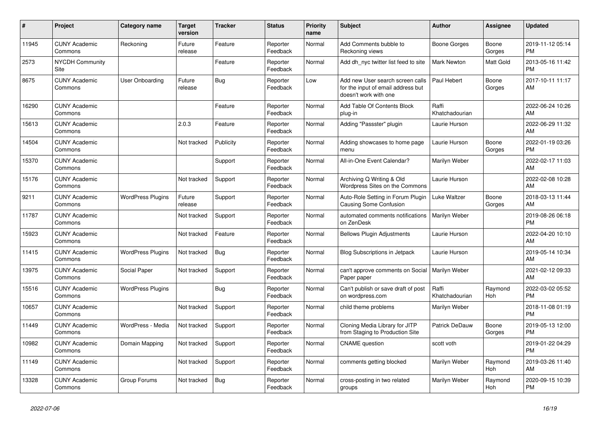| #     | Project                         | <b>Category name</b>     | <b>Target</b><br>version | <b>Tracker</b> | <b>Status</b>        | <b>Priority</b><br>name | <b>Subject</b>                                                                                  | <b>Author</b>           | <b>Assignee</b> | <b>Updated</b>                |
|-------|---------------------------------|--------------------------|--------------------------|----------------|----------------------|-------------------------|-------------------------------------------------------------------------------------------------|-------------------------|-----------------|-------------------------------|
| 11945 | <b>CUNY Academic</b><br>Commons | Reckoning                | Future<br>release        | Feature        | Reporter<br>Feedback | Normal                  | Add Comments bubble to<br>Reckoning views                                                       | Boone Gorges            | Boone<br>Gorges | 2019-11-12 05:14<br><b>PM</b> |
| 2573  | <b>NYCDH Community</b><br>Site  |                          |                          | Feature        | Reporter<br>Feedback | Normal                  | Add dh nyc twitter list feed to site                                                            | <b>Mark Newton</b>      | Matt Gold       | 2013-05-16 11:42<br><b>PM</b> |
| 8675  | <b>CUNY Academic</b><br>Commons | User Onboarding          | Future<br>release        | <b>Bug</b>     | Reporter<br>Feedback | Low                     | Add new User search screen calls<br>for the input of email address but<br>doesn't work with one | Paul Hebert             | Boone<br>Gorges | 2017-10-11 11:17<br>AM        |
| 16290 | <b>CUNY Academic</b><br>Commons |                          |                          | Feature        | Reporter<br>Feedback | Normal                  | Add Table Of Contents Block<br>plug-in                                                          | Raffi<br>Khatchadourian |                 | 2022-06-24 10:26<br>AM        |
| 15613 | <b>CUNY Academic</b><br>Commons |                          | 2.0.3                    | Feature        | Reporter<br>Feedback | Normal                  | Adding "Passster" plugin                                                                        | Laurie Hurson           |                 | 2022-06-29 11:32<br>AM        |
| 14504 | <b>CUNY Academic</b><br>Commons |                          | Not tracked              | Publicity      | Reporter<br>Feedback | Normal                  | Adding showcases to home page<br>menu                                                           | Laurie Hurson           | Boone<br>Gorges | 2022-01-19 03:26<br><b>PM</b> |
| 15370 | <b>CUNY Academic</b><br>Commons |                          |                          | Support        | Reporter<br>Feedback | Normal                  | All-in-One Event Calendar?                                                                      | Marilyn Weber           |                 | 2022-02-17 11:03<br>AM        |
| 15176 | <b>CUNY Academic</b><br>Commons |                          | Not tracked              | Support        | Reporter<br>Feedback | Normal                  | Archiving Q Writing & Old<br>Wordpress Sites on the Commons                                     | Laurie Hurson           |                 | 2022-02-08 10:28<br>AM        |
| 9211  | <b>CUNY Academic</b><br>Commons | <b>WordPress Plugins</b> | Future<br>release        | Support        | Reporter<br>Feedback | Normal                  | Auto-Role Setting in Forum Plugin<br>Causing Some Confusion                                     | Luke Waltzer            | Boone<br>Gorges | 2018-03-13 11:44<br>AM        |
| 11787 | <b>CUNY Academic</b><br>Commons |                          | Not tracked              | Support        | Reporter<br>Feedback | Normal                  | automated comments notifications<br>on ZenDesk                                                  | Marilyn Weber           |                 | 2019-08-26 06:18<br><b>PM</b> |
| 15923 | <b>CUNY Academic</b><br>Commons |                          | Not tracked              | Feature        | Reporter<br>Feedback | Normal                  | <b>Bellows Plugin Adjustments</b>                                                               | Laurie Hurson           |                 | 2022-04-20 10:10<br>AM        |
| 11415 | <b>CUNY Academic</b><br>Commons | <b>WordPress Plugins</b> | Not tracked              | Bug            | Reporter<br>Feedback | Normal                  | <b>Blog Subscriptions in Jetpack</b>                                                            | Laurie Hurson           |                 | 2019-05-14 10:34<br>AM        |
| 13975 | <b>CUNY Academic</b><br>Commons | Social Paper             | Not tracked              | Support        | Reporter<br>Feedback | Normal                  | can't approve comments on Social<br>Paper paper                                                 | Marilyn Weber           |                 | 2021-02-12 09:33<br>AM        |
| 15516 | <b>CUNY Academic</b><br>Commons | <b>WordPress Plugins</b> |                          | Bug            | Reporter<br>Feedback | Normal                  | Can't publish or save draft of post<br>on wordpress.com                                         | Raffi<br>Khatchadourian | Raymond<br>Hoh  | 2022-03-02 05:52<br><b>PM</b> |
| 10657 | <b>CUNY Academic</b><br>Commons |                          | Not tracked              | Support        | Reporter<br>Feedback | Normal                  | child theme problems                                                                            | Marilyn Weber           |                 | 2018-11-08 01:19<br><b>PM</b> |
| 11449 | <b>CUNY Academic</b><br>Commons | WordPress - Media        | Not tracked              | Support        | Reporter<br>Feedback | Normal                  | Cloning Media Library for JITP<br>from Staging to Production Site                               | Patrick DeDauw          | Boone<br>Gorges | 2019-05-13 12:00<br><b>PM</b> |
| 10982 | <b>CUNY Academic</b><br>Commons | Domain Mapping           | Not tracked              | Support        | Reporter<br>Feedback | Normal                  | <b>CNAME</b> question                                                                           | scott voth              |                 | 2019-01-22 04:29<br><b>PM</b> |
| 11149 | <b>CUNY Academic</b><br>Commons |                          | Not tracked              | Support        | Reporter<br>Feedback | Normal                  | comments getting blocked                                                                        | Marilyn Weber           | Raymond<br>Hoh  | 2019-03-26 11:40<br>AM        |
| 13328 | <b>CUNY Academic</b><br>Commons | Group Forums             | Not tracked              | <b>Bug</b>     | Reporter<br>Feedback | Normal                  | cross-posting in two related<br>groups                                                          | Marilyn Weber           | Raymond<br>Hoh  | 2020-09-15 10:39<br><b>PM</b> |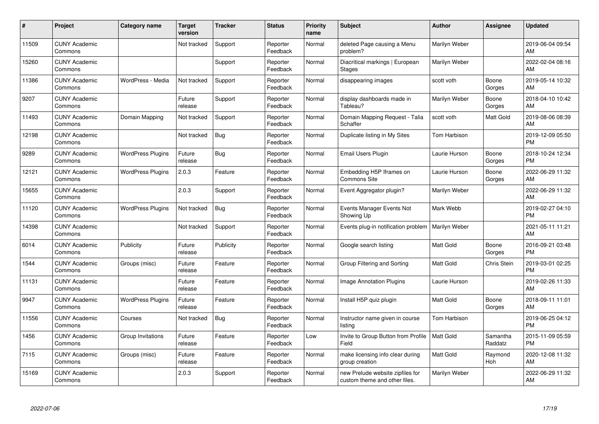| #     | Project                         | Category name            | Target<br>version | <b>Tracker</b> | <b>Status</b>        | <b>Priority</b><br>name | <b>Subject</b>                                                    | <b>Author</b>       | Assignee            | <b>Updated</b>                |
|-------|---------------------------------|--------------------------|-------------------|----------------|----------------------|-------------------------|-------------------------------------------------------------------|---------------------|---------------------|-------------------------------|
| 11509 | <b>CUNY Academic</b><br>Commons |                          | Not tracked       | Support        | Reporter<br>Feedback | Normal                  | deleted Page causing a Menu<br>problem?                           | Marilyn Weber       |                     | 2019-06-04 09:54<br>AM        |
| 15260 | <b>CUNY Academic</b><br>Commons |                          |                   | Support        | Reporter<br>Feedback | Normal                  | Diacritical markings   European<br><b>Stages</b>                  | Marilyn Weber       |                     | 2022-02-04 08:16<br>AM        |
| 11386 | <b>CUNY Academic</b><br>Commons | WordPress - Media        | Not tracked       | Support        | Reporter<br>Feedback | Normal                  | disappearing images                                               | scott voth          | Boone<br>Gorges     | 2019-05-14 10:32<br>AM        |
| 9207  | <b>CUNY Academic</b><br>Commons |                          | Future<br>release | Support        | Reporter<br>Feedback | Normal                  | display dashboards made in<br>Tableau?                            | Marilyn Weber       | Boone<br>Gorges     | 2018-04-10 10:42<br>AM        |
| 11493 | <b>CUNY Academic</b><br>Commons | Domain Mapping           | Not tracked       | Support        | Reporter<br>Feedback | Normal                  | Domain Mapping Request - Talia<br>Schaffer                        | scott voth          | Matt Gold           | 2019-08-06 08:39<br>AM        |
| 12198 | <b>CUNY Academic</b><br>Commons |                          | Not tracked       | <b>Bug</b>     | Reporter<br>Feedback | Normal                  | Duplicate listing in My Sites                                     | Tom Harbison        |                     | 2019-12-09 05:50<br><b>PM</b> |
| 9289  | <b>CUNY Academic</b><br>Commons | <b>WordPress Plugins</b> | Future<br>release | Bug            | Reporter<br>Feedback | Normal                  | Email Users Plugin                                                | Laurie Hurson       | Boone<br>Gorges     | 2018-10-24 12:34<br><b>PM</b> |
| 12121 | <b>CUNY Academic</b><br>Commons | <b>WordPress Plugins</b> | 2.0.3             | Feature        | Reporter<br>Feedback | Normal                  | Embedding H5P Iframes on<br>Commons Site                          | Laurie Hurson       | Boone<br>Gorges     | 2022-06-29 11:32<br>AM.       |
| 15655 | <b>CUNY Academic</b><br>Commons |                          | 2.0.3             | Support        | Reporter<br>Feedback | Normal                  | Event Aggregator plugin?                                          | Marilyn Weber       |                     | 2022-06-29 11:32<br>AM        |
| 11120 | <b>CUNY Academic</b><br>Commons | <b>WordPress Plugins</b> | Not tracked       | <b>Bug</b>     | Reporter<br>Feedback | Normal                  | Events Manager Events Not<br>Showing Up                           | Mark Webb           |                     | 2019-02-27 04:10<br><b>PM</b> |
| 14398 | <b>CUNY Academic</b><br>Commons |                          | Not tracked       | Support        | Reporter<br>Feedback | Normal                  | Events plug-in notification problem                               | Marilyn Weber       |                     | 2021-05-11 11:21<br>AM        |
| 6014  | <b>CUNY Academic</b><br>Commons | Publicity                | Future<br>release | Publicity      | Reporter<br>Feedback | Normal                  | Google search listing                                             | Matt Gold           | Boone<br>Gorges     | 2016-09-21 03:48<br><b>PM</b> |
| 1544  | <b>CUNY Academic</b><br>Commons | Groups (misc)            | Future<br>release | Feature        | Reporter<br>Feedback | Normal                  | Group Filtering and Sorting                                       | Matt Gold           | <b>Chris Stein</b>  | 2019-03-01 02:25<br><b>PM</b> |
| 11131 | <b>CUNY Academic</b><br>Commons |                          | Future<br>release | Feature        | Reporter<br>Feedback | Normal                  | <b>Image Annotation Plugins</b>                                   | Laurie Hurson       |                     | 2019-02-26 11:33<br>AM        |
| 9947  | <b>CUNY Academic</b><br>Commons | <b>WordPress Plugins</b> | Future<br>release | Feature        | Reporter<br>Feedback | Normal                  | Install H5P quiz plugin                                           | Matt Gold           | Boone<br>Gorges     | 2018-09-11 11:01<br>AM        |
| 11556 | <b>CUNY Academic</b><br>Commons | Courses                  | Not tracked       | <b>Bug</b>     | Reporter<br>Feedback | Normal                  | Instructor name given in course<br>listing                        | <b>Tom Harbison</b> |                     | 2019-06-25 04:12<br><b>PM</b> |
| 1456  | <b>CUNY Academic</b><br>Commons | Group Invitations        | Future<br>release | Feature        | Reporter<br>Feedback | Low                     | Invite to Group Button from Profile<br>Field                      | <b>Matt Gold</b>    | Samantha<br>Raddatz | 2015-11-09 05:59<br><b>PM</b> |
| 7115  | <b>CUNY Academic</b><br>Commons | Groups (misc)            | Future<br>release | Feature        | Reporter<br>Feedback | Normal                  | make licensing info clear during<br>group creation                | <b>Matt Gold</b>    | Raymond<br>Hoh      | 2020-12-08 11:32<br>AM        |
| 15169 | <b>CUNY Academic</b><br>Commons |                          | 2.0.3             | Support        | Reporter<br>Feedback | Normal                  | new Prelude website zipfiles for<br>custom theme and other files. | Marilyn Weber       |                     | 2022-06-29 11:32<br>AM        |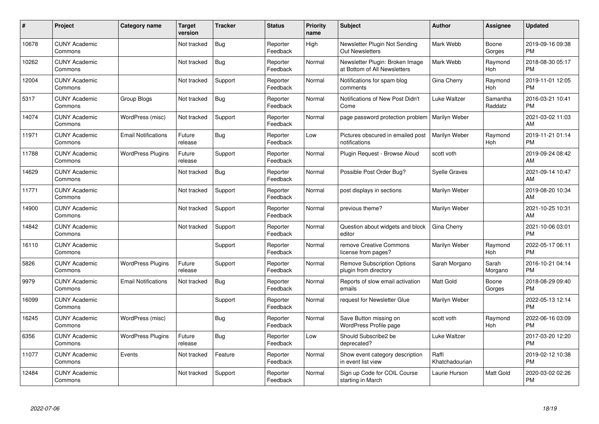| #     | Project                         | Category name              | <b>Target</b><br>version | <b>Tracker</b> | <b>Status</b>        | Priority<br>name | <b>Subject</b>                                                  | <b>Author</b>           | <b>Assignee</b>     | <b>Updated</b>                |
|-------|---------------------------------|----------------------------|--------------------------|----------------|----------------------|------------------|-----------------------------------------------------------------|-------------------------|---------------------|-------------------------------|
| 10678 | <b>CUNY Academic</b><br>Commons |                            | Not tracked              | Bug            | Reporter<br>Feedback | High             | Newsletter Plugin Not Sending<br>Out Newsletters                | Mark Webb               | Boone<br>Gorges     | 2019-09-16 09:38<br><b>PM</b> |
| 10262 | <b>CUNY Academic</b><br>Commons |                            | Not tracked              | Bug            | Reporter<br>Feedback | Normal           | Newsletter Plugin: Broken Image<br>at Bottom of All Newsletters | Mark Webb               | Raymond<br>Hoh      | 2018-08-30 05:17<br><b>PM</b> |
| 12004 | <b>CUNY Academic</b><br>Commons |                            | Not tracked              | Support        | Reporter<br>Feedback | Normal           | Notifications for spam blog<br>comments                         | Gina Cherry             | Raymond<br>Hoh      | 2019-11-01 12:05<br><b>PM</b> |
| 5317  | <b>CUNY Academic</b><br>Commons | Group Blogs                | Not tracked              | <b>Bug</b>     | Reporter<br>Feedback | Normal           | Notifications of New Post Didn't<br>Come                        | Luke Waltzer            | Samantha<br>Raddatz | 2016-03-21 10:41<br><b>PM</b> |
| 14074 | <b>CUNY Academic</b><br>Commons | WordPress (misc)           | Not tracked              | Support        | Reporter<br>Feedback | Normal           | page password protection problem                                | Marilyn Weber           |                     | 2021-03-02 11:03<br>AM        |
| 11971 | <b>CUNY Academic</b><br>Commons | <b>Email Notifications</b> | Future<br>release        | Bug            | Reporter<br>Feedback | Low              | Pictures obscured in emailed post<br>notifications              | Marilyn Weber           | Raymond<br>Hoh      | 2019-11-21 01:14<br><b>PM</b> |
| 11788 | <b>CUNY Academic</b><br>Commons | <b>WordPress Plugins</b>   | Future<br>release        | Support        | Reporter<br>Feedback | Normal           | Plugin Request - Browse Aloud                                   | scott voth              |                     | 2019-09-24 08:42<br>AM        |
| 14629 | <b>CUNY Academic</b><br>Commons |                            | Not tracked              | Bug            | Reporter<br>Feedback | Normal           | Possible Post Order Bug?                                        | <b>Syelle Graves</b>    |                     | 2021-09-14 10:47<br>AM        |
| 11771 | <b>CUNY Academic</b><br>Commons |                            | Not tracked              | Support        | Reporter<br>Feedback | Normal           | post displays in sections                                       | Marilyn Weber           |                     | 2019-08-20 10:34<br>AM        |
| 14900 | <b>CUNY Academic</b><br>Commons |                            | Not tracked              | Support        | Reporter<br>Feedback | Normal           | previous theme?                                                 | Marilyn Weber           |                     | 2021-10-25 10:31<br>AM        |
| 14842 | <b>CUNY Academic</b><br>Commons |                            | Not tracked              | Support        | Reporter<br>Feedback | Normal           | Question about widgets and block<br>editor                      | Gina Cherry             |                     | 2021-10-06 03:01<br><b>PM</b> |
| 16110 | <b>CUNY Academic</b><br>Commons |                            |                          | Support        | Reporter<br>Feedback | Normal           | remove Creative Commons<br>license from pages?                  | Marilyn Weber           | Raymond<br>Hoh      | 2022-05-17 06:11<br><b>PM</b> |
| 5826  | <b>CUNY Academic</b><br>Commons | <b>WordPress Plugins</b>   | Future<br>release        | Support        | Reporter<br>Feedback | Normal           | <b>Remove Subscription Options</b><br>plugin from directory     | Sarah Morgano           | Sarah<br>Morgano    | 2016-10-21 04:14<br><b>PM</b> |
| 9979  | <b>CUNY Academic</b><br>Commons | <b>Email Notifications</b> | Not tracked              | Bug            | Reporter<br>Feedback | Normal           | Reports of slow email activation<br>emails                      | <b>Matt Gold</b>        | Boone<br>Gorges     | 2018-08-29 09:40<br><b>PM</b> |
| 16099 | <b>CUNY Academic</b><br>Commons |                            |                          | Support        | Reporter<br>Feedback | Normal           | request for Newsletter Glue                                     | Marilyn Weber           |                     | 2022-05-13 12:14<br><b>PM</b> |
| 16245 | <b>CUNY Academic</b><br>Commons | WordPress (misc)           |                          | <b>Bug</b>     | Reporter<br>Feedback | Normal           | Save Button missing on<br>WordPress Profile page                | scott voth              | Raymond<br>Hoh      | 2022-06-16 03:09<br><b>PM</b> |
| 6356  | <b>CUNY Academic</b><br>Commons | <b>WordPress Plugins</b>   | Future<br>release        | Bug            | Reporter<br>Feedback | Low              | Should Subscribe2 be<br>deprecated?                             | Luke Waltzer            |                     | 2017-03-20 12:20<br><b>PM</b> |
| 11077 | <b>CUNY Academic</b><br>Commons | Events                     | Not tracked              | Feature        | Reporter<br>Feedback | Normal           | Show event category description<br>in event list view           | Raffi<br>Khatchadourian |                     | 2019-02-12 10:38<br><b>PM</b> |
| 12484 | <b>CUNY Academic</b><br>Commons |                            | Not tracked              | Support        | Reporter<br>Feedback | Normal           | Sign up Code for COIL Course<br>starting in March               | Laurie Hurson           | Matt Gold           | 2020-03-02 02:26<br><b>PM</b> |